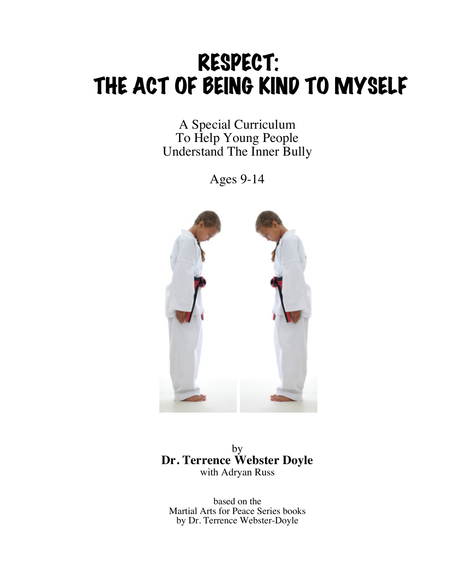# RESPECT: THE ACT OF BEING KIND TO MYSELF

A Special Curriculum To Help Young People Understand The Inner Bully

Ages 9-14



by **Dr. Terrence Webster Doyle** with Adryan Russ

based on the Martial Arts for Peace Series books by Dr. Terrence Webster-Doyle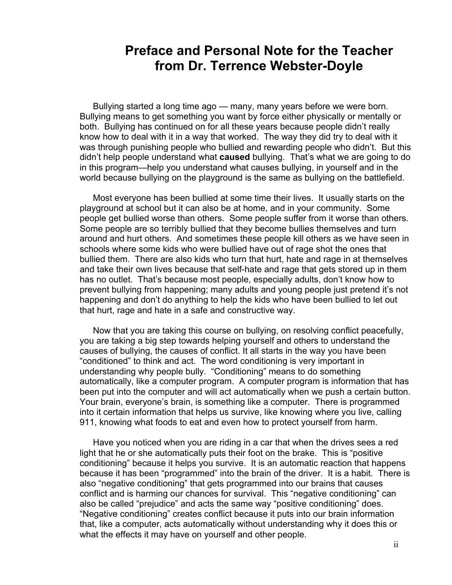# **Preface and Personal Note for the Teacher from Dr. Terrence Webster-Doyle**

 Bullying started a long time ago — many, many years before we were born. Bullying means to get something you want by force either physically or mentally or both. Bullying has continued on for all these years because people didn't really know how to deal with it in a way that worked. The way they did try to deal with it was through punishing people who bullied and rewarding people who didn't. But this didn't help people understand what **caused** bullying. That's what we are going to do in this program—help you understand what causes bullying, in yourself and in the world because bullying on the playground is the same as bullying on the battlefield.

 Most everyone has been bullied at some time their lives. It usually starts on the playground at school but it can also be at home, and in your community. Some people get bullied worse than others. Some people suffer from it worse than others. Some people are so terribly bullied that they become bullies themselves and turn around and hurt others. And sometimes these people kill others as we have seen in schools where some kids who were bullied have out of rage shot the ones that bullied them. There are also kids who turn that hurt, hate and rage in at themselves and take their own lives because that self-hate and rage that gets stored up in them has no outlet. That's because most people, especially adults, don't know how to prevent bullying from happening; many adults and young people just pretend it's not happening and don't do anything to help the kids who have been bullied to let out that hurt, rage and hate in a safe and constructive way.

 Now that you are taking this course on bullying, on resolving conflict peacefully, you are taking a big step towards helping yourself and others to understand the causes of bullying, the causes of conflict. It all starts in the way you have been "conditioned" to think and act. The word conditioning is very important in understanding why people bully. "Conditioning" means to do something automatically, like a computer program. A computer program is information that has been put into the computer and will act automatically when we push a certain button. Your brain, everyone's brain, is something like a computer. There is programmed into it certain information that helps us survive, like knowing where you live, calling 911, knowing what foods to eat and even how to protect yourself from harm.

 Have you noticed when you are riding in a car that when the drives sees a red light that he or she automatically puts their foot on the brake. This is "positive conditioning" because it helps you survive. It is an automatic reaction that happens because it has been "programmed" into the brain of the driver. It is a habit. There is also "negative conditioning" that gets programmed into our brains that causes conflict and is harming our chances for survival. This "negative conditioning" can also be called "prejudice" and acts the same way "positive conditioning" does. "Negative conditioning" creates conflict because it puts into our brain information that, like a computer, acts automatically without understanding why it does this or what the effects it may have on yourself and other people.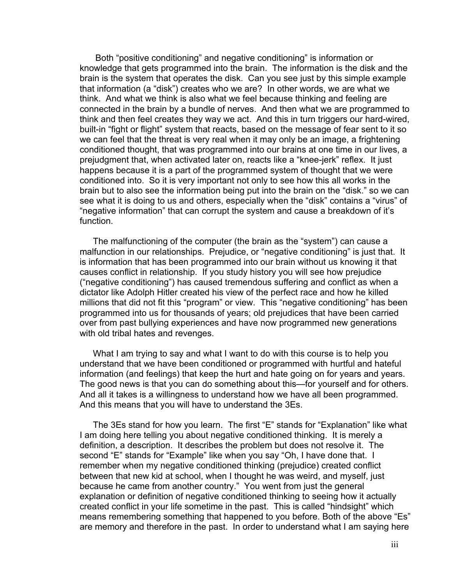Both "positive conditioning" and negative conditioning" is information or knowledge that gets programmed into the brain. The information is the disk and the brain is the system that operates the disk. Can you see just by this simple example that information (a "disk") creates who we are? In other words, we are what we think. And what we think is also what we feel because thinking and feeling are connected in the brain by a bundle of nerves. And then what we are programmed to think and then feel creates they way we act. And this in turn triggers our hard-wired, built-in "fight or flight" system that reacts, based on the message of fear sent to it so we can feel that the threat is very real when it may only be an image, a frightening conditioned thought, that was programmed into our brains at one time in our lives, a prejudgment that, when activated later on, reacts like a "knee-jerk" reflex. It just happens because it is a part of the programmed system of thought that we were conditioned into. So it is very important not only to see how this all works in the brain but to also see the information being put into the brain on the "disk." so we can see what it is doing to us and others, especially when the "disk" contains a "virus" of "negative information" that can corrupt the system and cause a breakdown of it's function.

 The malfunctioning of the computer (the brain as the "system") can cause a malfunction in our relationships. Prejudice, or "negative conditioning" is just that. It is information that has been programmed into our brain without us knowing it that causes conflict in relationship. If you study history you will see how prejudice ("negative conditioning") has caused tremendous suffering and conflict as when a dictator like Adolph Hitler created his view of the perfect race and how he killed millions that did not fit this "program" or view. This "negative conditioning" has been programmed into us for thousands of years; old prejudices that have been carried over from past bullying experiences and have now programmed new generations with old tribal hates and revenges.

 What I am trying to say and what I want to do with this course is to help you understand that we have been conditioned or programmed with hurtful and hateful information (and feelings) that keep the hurt and hate going on for years and years. The good news is that you can do something about this—for yourself and for others. And all it takes is a willingness to understand how we have all been programmed. And this means that you will have to understand the 3Es.

The 3Es stand for how you learn. The first "E" stands for "Explanation" like what I am doing here telling you about negative conditioned thinking. It is merely a definition, a description. It describes the problem but does not resolve it. The second "E" stands for "Example" like when you say "Oh, I have done that. I remember when my negative conditioned thinking (prejudice) created conflict between that new kid at school, when I thought he was weird, and myself, just because he came from another country." You went from just the general explanation or definition of negative conditioned thinking to seeing how it actually created conflict in your life sometime in the past. This is called "hindsight" which means remembering something that happened to you before. Both of the above "Es" are memory and therefore in the past. In order to understand what I am saying here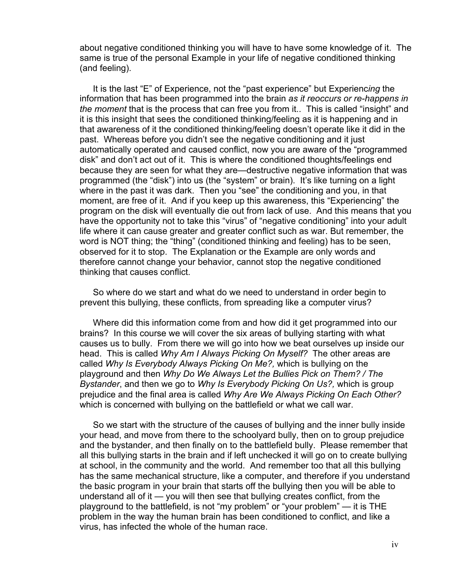about negative conditioned thinking you will have to have some knowledge of it. The same is true of the personal Example in your life of negative conditioned thinking (and feeling).

 It is the last "E" of Experience, not the "past experience" but Experienc*ing* the information that has been programmed into the brain *as it reoccurs or re-happens in the moment* that is the process that can free you from it.. This is called "insight" and it is this insight that sees the conditioned thinking/feeling as it is happening and in that awareness of it the conditioned thinking/feeling doesn't operate like it did in the past. Whereas before you didn't see the negative conditioning and it just automatically operated and caused conflict, now you are aware of the "programmed disk" and don't act out of it. This is where the conditioned thoughts/feelings end because they are seen for what they are—destructive negative information that was programmed (the "disk") into us (the "system" or brain). It's like turning on a light where in the past it was dark. Then you "see" the conditioning and you, in that moment, are free of it. And if you keep up this awareness, this "Experiencing" the program on the disk will eventually die out from lack of use. And this means that you have the opportunity not to take this "virus" of "negative conditioning" into your adult life where it can cause greater and greater conflict such as war. But remember, the word is NOT thing; the "thing" (conditioned thinking and feeling) has to be seen, observed for it to stop. The Explanation or the Example are only words and therefore cannot change your behavior, cannot stop the negative conditioned thinking that causes conflict.

 So where do we start and what do we need to understand in order begin to prevent this bullying, these conflicts, from spreading like a computer virus?

Where did this information come from and how did it get programmed into our brains? In this course we will cover the six areas of bullying starting with what causes us to bully. From there we will go into how we beat ourselves up inside our head. This is called *Why Am I Always Picking On Myself?* The other areas are called *Why Is Everybody Always Picking On Me?,* which is bullying on the playground and then *Why Do We Always Let the Bullies Pick on Them? / The Bystander*, and then we go to *Why Is Everybody Picking On Us?,* which is group prejudice and the final area is called *Why Are We Always Picking On Each Other?* which is concerned with bullying on the battlefield or what we call war.

So we start with the structure of the causes of bullying and the inner bully inside your head, and move from there to the schoolyard bully, then on to group prejudice and the bystander, and then finally on to the battlefield bully. Please remember that all this bullying starts in the brain and if left unchecked it will go on to create bullying at school, in the community and the world. And remember too that all this bullying has the same mechanical structure, like a computer, and therefore if you understand the basic program in your brain that starts off the bullying then you will be able to understand all of it — you will then see that bullying creates conflict, from the playground to the battlefield, is not "my problem" or "your problem" — it is THE problem in the way the human brain has been conditioned to conflict, and like a virus, has infected the whole of the human race.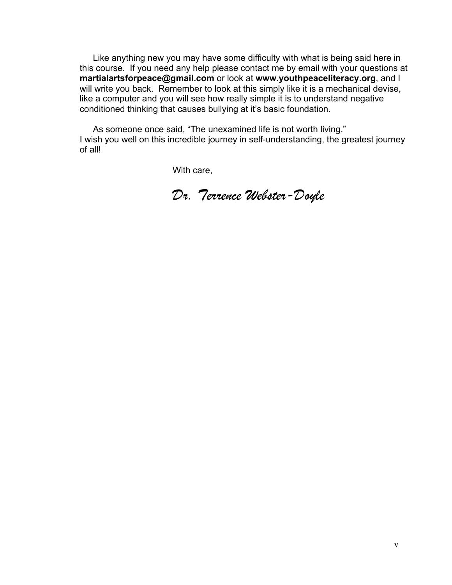Like anything new you may have some difficulty with what is being said here in this course. If you need any help please contact me by email with your questions at **martialartsforpeace@gmail.com** or look at **www.youthpeaceliteracy.org**, and I will write you back. Remember to look at this simply like it is a mechanical devise, like a computer and you will see how really simple it is to understand negative conditioned thinking that causes bullying at it's basic foundation.

As someone once said, "The unexamined life is not worth living." I wish you well on this incredible journey in self-understanding, the greatest journey of all!

With care,

*Dr. Terrence Webster-Doyle*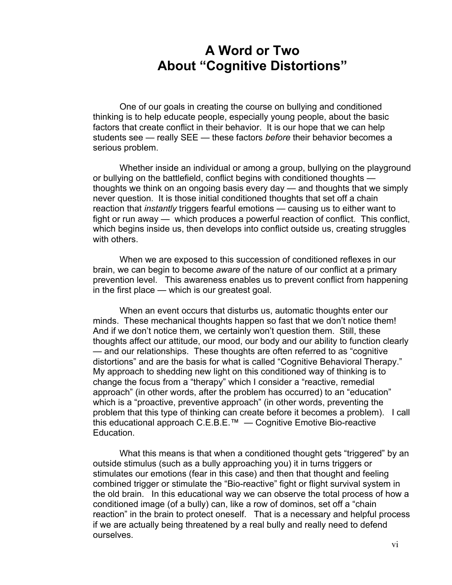# **A Word or Two About "Cognitive Distortions"**

One of our goals in creating the course on bullying and conditioned thinking is to help educate people, especially young people, about the basic factors that create conflict in their behavior. It is our hope that we can help students see — really SEE — these factors *before* their behavior becomes a serious problem.

Whether inside an individual or among a group, bullying on the playground or bullying on the battlefield, conflict begins with conditioned thoughts thoughts we think on an ongoing basis every day — and thoughts that we simply never question. It is those initial conditioned thoughts that set off a chain reaction that *instantly* triggers fearful emotions — causing us to either want to fight or run away — which produces a powerful reaction of conflict. This conflict, which begins inside us, then develops into conflict outside us, creating struggles with others.

When we are exposed to this succession of conditioned reflexes in our brain, we can begin to become *aware* of the nature of our conflict at a primary prevention level. This awareness enables us to prevent conflict from happening in the first place — which is our greatest goal.

When an event occurs that disturbs us, automatic thoughts enter our minds. These mechanical thoughts happen so fast that we don't notice them! And if we don't notice them, we certainly won't question them. Still, these thoughts affect our attitude, our mood, our body and our ability to function clearly — and our relationships. These thoughts are often referred to as "cognitive distortions" and are the basis for what is called "Cognitive Behavioral Therapy." My approach to shedding new light on this conditioned way of thinking is to change the focus from a "therapy" which I consider a "reactive, remedial approach" (in other words, after the problem has occurred) to an "education" which is a "proactive, preventive approach" (in other words, preventing the problem that this type of thinking can create before it becomes a problem). I call this educational approach C.E.B.E.™ — Cognitive Emotive Bio-reactive Education.

What this means is that when a conditioned thought gets "triggered" by an outside stimulus (such as a bully approaching you) it in turns triggers or stimulates our emotions (fear in this case) and then that thought and feeling combined trigger or stimulate the "Bio-reactive" fight or flight survival system in the old brain. In this educational way we can observe the total process of how a conditioned image (of a bully) can, like a row of dominos, set off a "chain reaction" in the brain to protect oneself. That is a necessary and helpful process if we are actually being threatened by a real bully and really need to defend ourselves.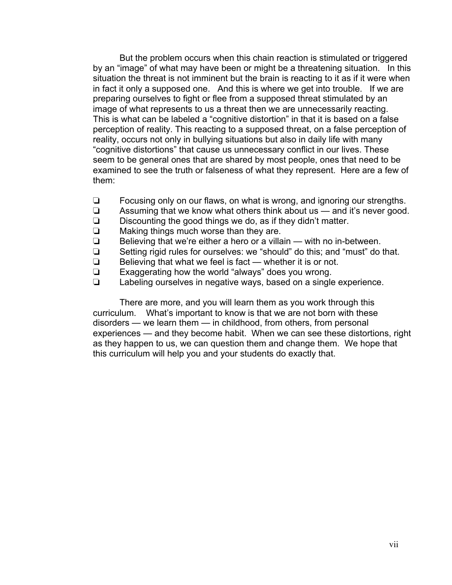But the problem occurs when this chain reaction is stimulated or triggered by an "image" of what may have been or might be a threatening situation. In this situation the threat is not imminent but the brain is reacting to it as if it were when in fact it only a supposed one. And this is where we get into trouble. If we are preparing ourselves to fight or flee from a supposed threat stimulated by an image of what represents to us a threat then we are unnecessarily reacting. This is what can be labeled a "cognitive distortion" in that it is based on a false perception of reality. This reacting to a supposed threat, on a false perception of reality, occurs not only in bullying situations but also in daily life with many "cognitive distortions" that cause us unnecessary conflict in our lives. These seem to be general ones that are shared by most people, ones that need to be examined to see the truth or falseness of what they represent. Here are a few of them:

- $\Box$  Focusing only on our flaws, on what is wrong, and ignoring our strengths.
- $\Box$  Assuming that we know what others think about us and it's never good.
- $\Box$  Discounting the good things we do, as if they didn't matter.
- $\Box$  Making things much worse than they are.<br> $\Box$  Believing that we're either a hero or a villa
- Believing that we're either a hero or a villain with no in-between.
- $\Box$  Setting rigid rules for ourselves: we "should" do this; and "must" do that.
- $\Box$  Believing that what we feel is fact whether it is or not.
- $\Box$  Exaggerating how the world "always" does you wrong.
- $\Box$  Labeling ourselves in negative ways, based on a single experience.

There are more, and you will learn them as you work through this curriculum. What's important to know is that we are not born with these disorders — we learn them — in childhood, from others, from personal experiences — and they become habit. When we can see these distortions, right as they happen to us, we can question them and change them. We hope that this curriculum will help you and your students do exactly that.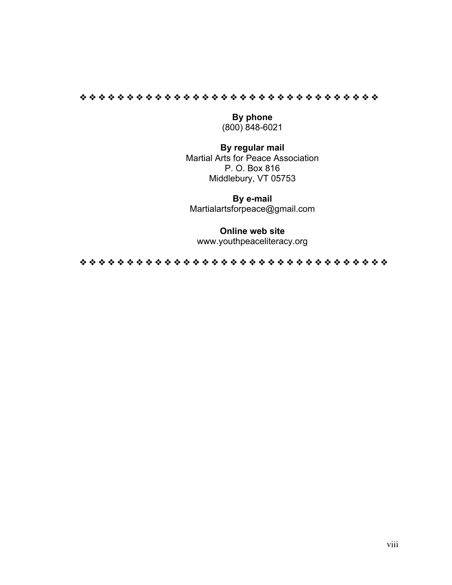#### " " " " " " " " " " " " " " " " " " " " " " " " " " " " " " " "

**By phone**  (800) 848-6021

# **By regular mail**

Martial Arts for Peace Association P. O. Box 816 Middlebury, VT 05753

**By e-mail**  Martialartsforpeace@gmail.com

#### **Online web site**

www.youthpeaceliteracy.org

" " " " " " " " " " " " " " " " " " " " " " " " " " " " " " " " "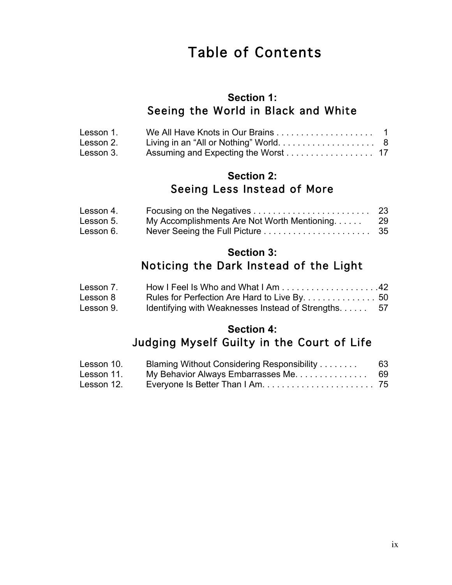# Table of Contents

# **Section 1:**  Seeing the World in Black and White

| Lesson 1. |  |
|-----------|--|
| Lesson 2. |  |
| Lesson 3. |  |

# **Section 2:**  Seeing Less Instead of More

| Lesson 4. |                                             |     |
|-----------|---------------------------------------------|-----|
| Lesson 5. | My Accomplishments Are Not Worth Mentioning | -29 |
| Lesson 6. |                                             |     |

# **Section 3:**

# Noticing the Dark Instead of the Light

| Lesson 7. |                                                      |  |
|-----------|------------------------------------------------------|--|
| Lesson 8  | Rules for Perfection Are Hard to Live By. 50         |  |
| Lesson 9. | Identifying with Weaknesses Instead of Strengths. 57 |  |

# **Section 4:**  Judging Myself Guilty in the Court of Life

| Lesson 10. | Blaming Without Considering Responsibility | 63 |
|------------|--------------------------------------------|----|
| Lesson 11. | My Behavior Always Embarrasses Me.         | 69 |
| Lesson 12. |                                            |    |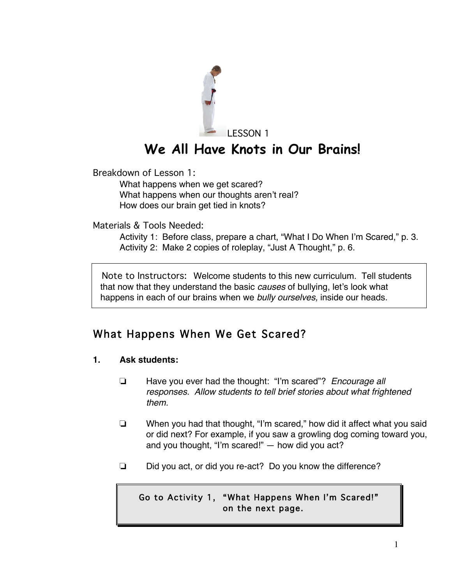

Breakdown of Lesson 1:

What happens when we get scared? What happens when our thoughts aren't real? How does our brain get tied in knots?

Materials & Tools Needed:

Activity 1: Before class, prepare a chart, "What I Do When I'm Scared," p. 3. Activity 2: Make 2 copies of roleplay, "Just A Thought," p. 6.

 Note to Instructors: Welcome students to this new curriculum. Tell students that now that they understand the basic *causes* of bullying, let's look what happens in each of our brains when we *bully ourselves,* inside our heads.

# What Happens When We Get Scared?

# **1. Ask students:**

- ! Have you ever had the thought: "I'm scared"? *Encourage all responses. Allow students to tell brief stories about what frightened them.*
- $\Box$  When you had that thought, "I'm scared," how did it affect what you said or did next? For example, if you saw a growling dog coming toward you, and you thought, "I'm scared!" — how did you act?
- $\Box$  Did you act, or did you re-act? Do you know the difference?

# Go to Activity 1, "What Happens When I'm Scared!" on the next page.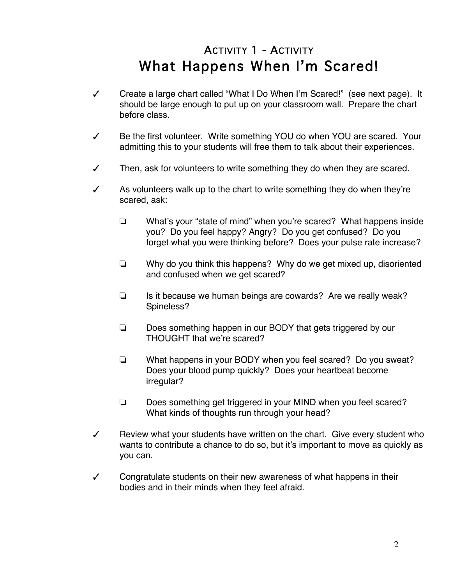# ACTIVITY 1 - ACTIVITY What Happens When I'm Scared!

- $\checkmark$  Create a large chart called "What I Do When I'm Scared!" (see next page). It should be large enough to put up on your classroom wall. Prepare the chart before class.
- $\sqrt{ }$  Be the first volunteer. Write something YOU do when YOU are scared. Your admitting this to your students will free them to talk about their experiences.
- $\checkmark$  Then, ask for volunteers to write something they do when they are scared.
- $\mathcal I$  As volunteers walk up to the chart to write something they do when they're scared, ask:
	- $\Box$  What's your "state of mind" when you're scared? What happens inside you? Do you feel happy? Angry? Do you get confused? Do you forget what you were thinking before? Does your pulse rate increase?
	- $\Box$  Why do you think this happens? Why do we get mixed up, disoriented and confused when we get scared?
	- $\Box$  Is it because we human beings are cowards? Are we really weak? Spineless?
	- $\Box$  Does something happen in our BODY that gets triggered by our THOUGHT that we're scared?
	- $\Box$  What happens in your BODY when you feel scared? Do you sweat? Does your blood pump quickly? Does your heartbeat become irregular?
	- □ Does something get triggered in your MIND when you feel scared? What kinds of thoughts run through your head?
- $\sqrt{ }$  Review what your students have written on the chart. Give every student who wants to contribute a chance to do so, but it's important to move as quickly as you can.
- $\checkmark$  Congratulate students on their new awareness of what happens in their bodies and in their minds when they feel afraid.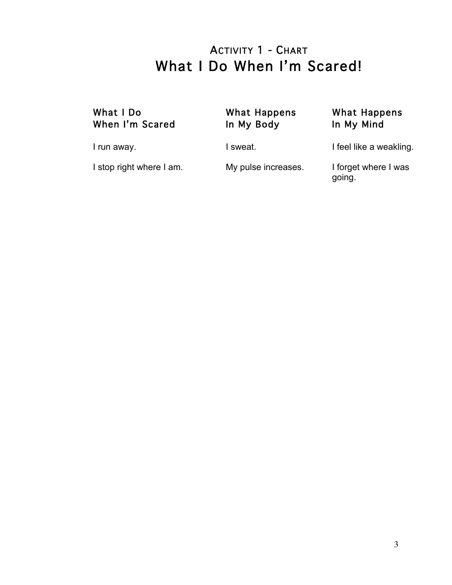# ACTIVITY 1 - CHART What I Do When I'm Scared!

# What I Do What Happens What Happens When I'm Scared In My Body In My Mind

I run away. The same control of the sweat. I feel like a weakling.

I stop right where I am. My pulse increases. I forget where I was going.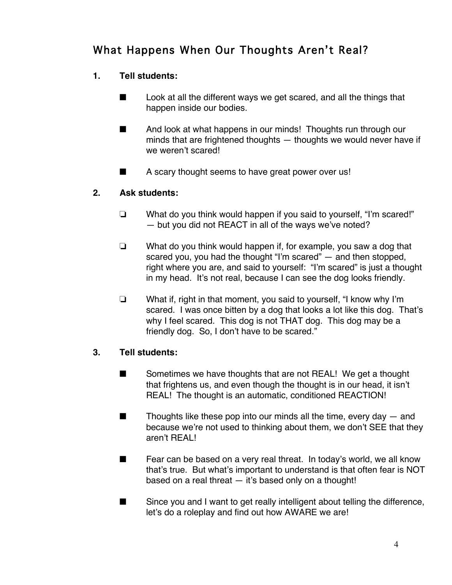# What Happens When Our Thoughts Aren't Real?

# **1. Tell students:**

- $\blacksquare$  Look at all the different ways we get scared, and all the things that happen inside our bodies.
- $\blacksquare$  And look at what happens in our minds! Thoughts run through our minds that are frightened thoughts — thoughts we would never have if we weren't scared!
- $\blacksquare$  A scary thought seems to have great power over us!

# **2. Ask students:**

- $\Box$  What do you think would happen if you said to yourself, "I'm scared!" — but you did not REACT in all of the ways we've noted?
- $\Box$  What do you think would happen if, for example, you saw a dog that scared you, you had the thought "I'm scared" — and then stopped, right where you are, and said to yourself: "I'm scared" is just a thought in my head. It's not real, because I can see the dog looks friendly.
- $\Box$  What if, right in that moment, you said to yourself, "I know why I'm scared. I was once bitten by a dog that looks a lot like this dog. That's why I feel scared. This dog is not THAT dog. This dog may be a friendly dog. So, I don't have to be scared."

# **3. Tell students:**

- $\blacksquare$  Sometimes we have thoughts that are not REAL! We get a thought that frightens us, and even though the thought is in our head, it isn't REAL! The thought is an automatic, conditioned REACTION!
- $\blacksquare$  Thoughts like these pop into our minds all the time, every day  $-$  and because we're not used to thinking about them, we don't SEE that they aren't REAL!
- $\blacksquare$  Fear can be based on a very real threat. In today's world, we all know that's true. But what's important to understand is that often fear is NOT based on a real threat — it's based only on a thought!
- $\blacksquare$  Since you and I want to get really intelligent about telling the difference, let's do a roleplay and find out how AWARE we are!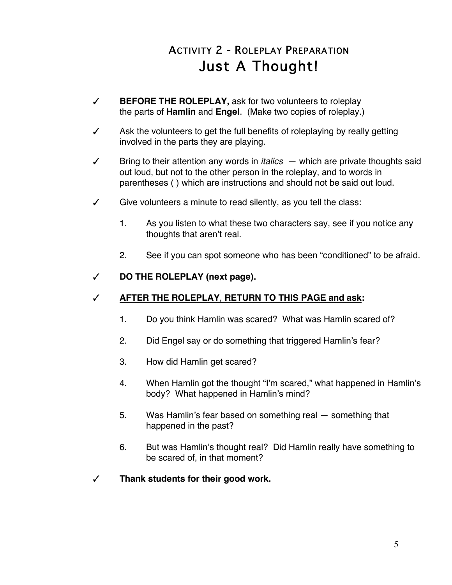# ACTIVITY 2 - ROLEPLAY PREPARATION Just A Thought!

- # **BEFORE THE ROLEPLAY,** ask for two volunteers to roleplay the parts of **Hamlin** and **Engel**. (Make two copies of roleplay.)
- $\sqrt{ }$  Ask the volunteers to get the full benefits of roleplaying by really getting involved in the parts they are playing.
- $\checkmark$  Bring to their attention any words in *italics*  $-$  which are private thoughts said out loud, but not to the other person in the roleplay, and to words in parentheses ( ) which are instructions and should not be said out loud.
- $\checkmark$  Give volunteers a minute to read silently, as you tell the class:
	- 1. As you listen to what these two characters say, see if you notice any thoughts that aren't real.
	- 2. See if you can spot someone who has been "conditioned" to be afraid.

# # **DO THE ROLEPLAY (next page).**

# # **AFTER THE ROLEPLAY**, **RETURN TO THIS PAGE and ask:**

- 1. Do you think Hamlin was scared? What was Hamlin scared of?
- 2. Did Engel say or do something that triggered Hamlin's fear?
- 3. How did Hamlin get scared?
- 4. When Hamlin got the thought "I'm scared," what happened in Hamlin's body? What happened in Hamlin's mind?
- 5. Was Hamlin's fear based on something real something that happened in the past?
- 6. But was Hamlin's thought real? Did Hamlin really have something to be scared of, in that moment?
- # **Thank students for their good work.**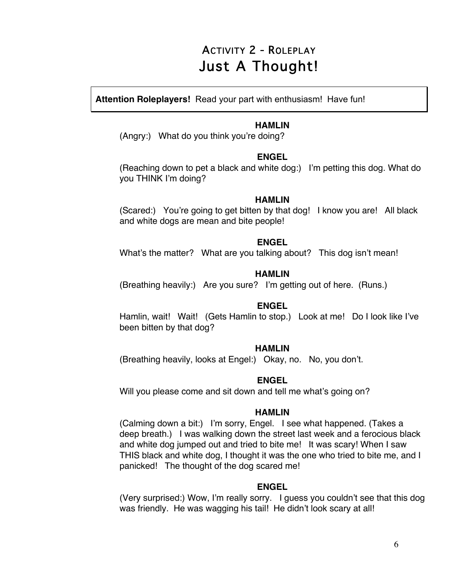# ACTIVITY 2 - ROLEPLAY Just A Thought!

**Attention Roleplayers!** Read your part with enthusiasm! Have fun!

### **HAMLIN**

(Angry:) What do you think you're doing?

### **ENGEL**

(Reaching down to pet a black and white dog:) I'm petting this dog. What do you THINK I'm doing?

### **HAMLIN**

(Scared:) You're going to get bitten by that dog! I know you are! All black and white dogs are mean and bite people!

### **ENGEL**

What's the matter? What are you talking about? This dog isn't mean!

# **HAMLIN**

(Breathing heavily:) Are you sure? I'm getting out of here. (Runs.)

### **ENGEL**

Hamlin, wait! Wait! (Gets Hamlin to stop.) Look at me! Do I look like I've been bitten by that dog?

### **HAMLIN**

(Breathing heavily, looks at Engel:) Okay, no. No, you don't.

# **ENGEL**

Will you please come and sit down and tell me what's going on?

### **HAMLIN**

(Calming down a bit:) I'm sorry, Engel. I see what happened. (Takes a deep breath.) I was walking down the street last week and a ferocious black and white dog jumped out and tried to bite me! It was scary! When I saw THIS black and white dog, I thought it was the one who tried to bite me, and I panicked! The thought of the dog scared me!

# **ENGEL**

(Very surprised:) Wow, I'm really sorry. I guess you couldn't see that this dog was friendly. He was wagging his tail! He didn't look scary at all!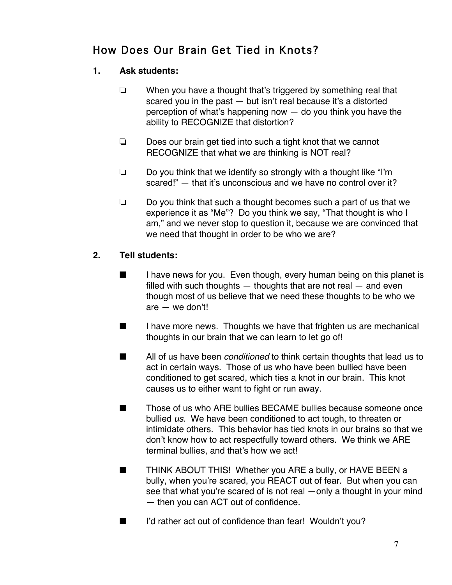# How Does Our Brain Get Tied in Knots?

# **1. Ask students:**

- $\Box$  When you have a thought that's triggered by something real that scared you in the past — but isn't real because it's a distorted perception of what's happening now — do you think you have the ability to RECOGNIZE that distortion?
- $\Box$  Does our brain get tied into such a tight knot that we cannot RECOGNIZE that what we are thinking is NOT real?
- $\Box$  Do you think that we identify so strongly with a thought like "I'm scared!" — that it's unconscious and we have no control over it?
- $\Box$  Do you think that such a thought becomes such a part of us that we experience it as "Me"? Do you think we say, "That thought is who I am," and we never stop to question it, because we are convinced that we need that thought in order to be who we are?

# **2. Tell students:**

- $\blacksquare$  I have news for you. Even though, every human being on this planet is filled with such thoughts  $-$  thoughts that are not real  $-$  and even though most of us believe that we need these thoughts to be who we are — we don't!
- $\blacksquare$  I have more news. Thoughts we have that frighten us are mechanical thoughts in our brain that we can learn to let go of!
- **EXECUTE:** All of us have been *conditioned* to think certain thoughts that lead us to act in certain ways. Those of us who have been bullied have been conditioned to get scared, which ties a knot in our brain. This knot causes us to either want to fight or run away.
- Those of us who ARE bullies BECAME bullies because someone once bullied *us*. We have been conditioned to act tough, to threaten or intimidate others. This behavior has tied knots in our brains so that we don't know how to act respectfully toward others. We think we ARE terminal bullies, and that's how we act!
- **EXECUTE:** THINK ABOUT THIS! Whether you ARE a bully, or HAVE BEEN a bully, when you're scared, you REACT out of fear. But when you can see that what you're scared of is not real —only a thought in your mind — then you can ACT out of confidence.
- $\blacksquare$  I'd rather act out of confidence than fear! Wouldn't you?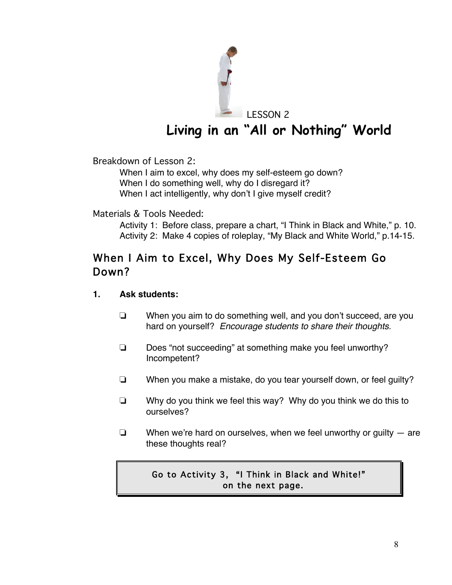

# **Living in an "All or Nothing" World**

Breakdown of Lesson 2:

When I aim to excel, why does my self-esteem go down? When I do something well, why do I disregard it? When I act intelligently, why don't I give myself credit?

### Materials & Tools Needed:

Activity 1: Before class, prepare a chart, "I Think in Black and White," p. 10. Activity 2: Make 4 copies of roleplay, "My Black and White World," p.14-15.

# When I Aim to Excel, Why Does My Self-Esteem Go Down?

### **1. Ask students:**

- $\Box$  When you aim to do something well, and you don't succeed, are you hard on yourself? *Encourage students to share their thoughts.*
- $\Box$  Does "not succeeding" at something make you feel unworthy? Incompetent?
- $\Box$  When you make a mistake, do you tear yourself down, or feel quilty?
- $\Box$  Why do you think we feel this way? Why do you think we do this to ourselves?
- $\Box$  When we're hard on ourselves, when we feel unworthy or guilty  $-$  are these thoughts real?

# Go to Activity 3, "I Think in Black and White!" on the next page.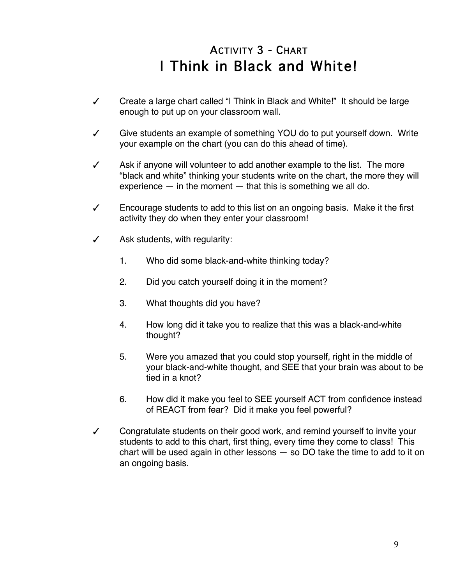# ACTIVITY 3 - CHART I Think in Black and White!

- $\checkmark$  Create a large chart called "I Think in Black and White!" It should be large enough to put up on your classroom wall.
- $\checkmark$  Give students an example of something YOU do to put yourself down. Write your example on the chart (you can do this ahead of time).
- $\checkmark$  Ask if anyone will volunteer to add another example to the list. The more "black and white" thinking your students write on the chart, the more they will experience  $-$  in the moment  $-$  that this is something we all do.
- $\checkmark$  Encourage students to add to this list on an ongoing basis. Make it the first activity they do when they enter your classroom!
- $\checkmark$  Ask students, with regularity:
	- 1. Who did some black-and-white thinking today?
	- 2. Did you catch yourself doing it in the moment?
	- 3. What thoughts did you have?
	- 4. How long did it take you to realize that this was a black-and-white thought?
	- 5. Were you amazed that you could stop yourself, right in the middle of your black-and-white thought, and SEE that your brain was about to be tied in a knot?
	- 6. How did it make you feel to SEE yourself ACT from confidence instead of REACT from fear? Did it make you feel powerful?
- $\checkmark$  Congratulate students on their good work, and remind yourself to invite your students to add to this chart, first thing, every time they come to class! This chart will be used again in other lessons — so DO take the time to add to it on an ongoing basis.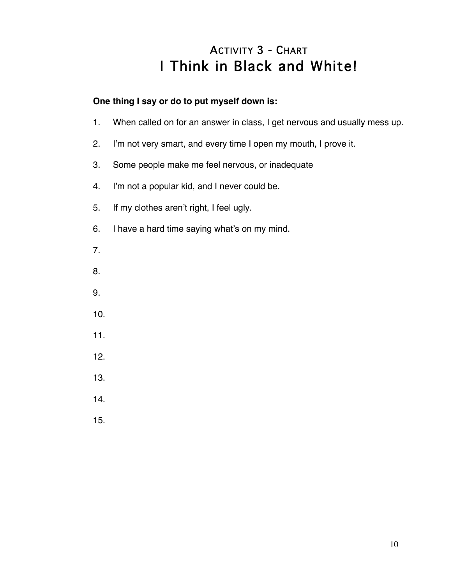# ACTIVITY 3 - CHART I Think in Black and White!

# **One thing I say or do to put myself down is:**

- 1. When called on for an answer in class, I get nervous and usually mess up.
- 2. I'm not very smart, and every time I open my mouth, I prove it.
- 3. Some people make me feel nervous, or inadequate
- 4. I'm not a popular kid, and I never could be.
- 5. If my clothes aren't right, I feel ugly.
- 6. I have a hard time saying what's on my mind.
- 7.
- 8.
- 9.
- 10.
- 11.
- 12.
- 13.
- 14.
- 15.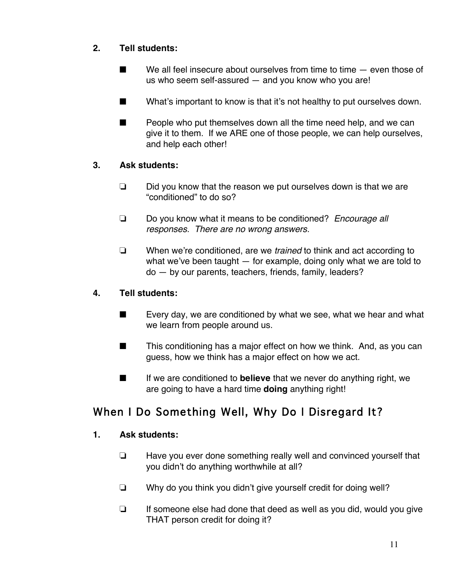# **2. Tell students:**

- $\blacksquare$  We all feel insecure about ourselves from time to time  $-$  even those of us who seem self-assured — and you know who you are!
- $\blacksquare$  What's important to know is that it's not healthy to put ourselves down.
- $\blacksquare$  People who put themselves down all the time need help, and we can give it to them. If we ARE one of those people, we can help ourselves, and help each other!

# **3. Ask students:**

- $\Box$  Did you know that the reason we put ourselves down is that we are "conditioned" to do so?
- ! Do you know what it means to be conditioned? *Encourage all responses. There are no wrong answers.*
- ! When we're conditioned, are we *trained* to think and act according to what we've been taught — for example, doing only what we are told to do — by our parents, teachers, friends, family, leaders?

# **4. Tell students:**

- $\blacksquare$  Every day, we are conditioned by what we see, what we hear and what we learn from people around us.
- $\blacksquare$  This conditioning has a major effect on how we think. And, as you can guess, how we think has a major effect on how we act.
- **EXECUTE:** If we are conditioned to **believe** that we never do anything right, we are going to have a hard time **doing** anything right!

# When I Do Something Well, Why Do I Disregard It?

# **1. Ask students:**

- $\Box$  Have you ever done something really well and convinced yourself that you didn't do anything worthwhile at all?
- $\Box$  Why do you think you didn't give yourself credit for doing well?
- $\Box$  If someone else had done that deed as well as you did, would you give THAT person credit for doing it?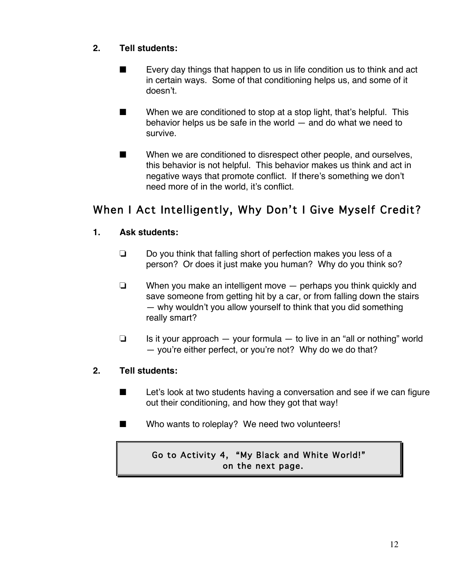# **2. Tell students:**

- $\blacksquare$  Every day things that happen to us in life condition us to think and act in certain ways. Some of that conditioning helps us, and some of it doesn't.
- $\blacksquare$  When we are conditioned to stop at a stop light, that's helpful. This behavior helps us be safe in the world — and do what we need to survive.
- $\blacksquare$  When we are conditioned to disrespect other people, and ourselves, this behavior is not helpful. This behavior makes us think and act in negative ways that promote conflict. If there's something we don't need more of in the world, it's conflict.

# When I Act Intelligently, Why Don't I Give Myself Credit?

# **1. Ask students:**

- $\Box$  Do you think that falling short of perfection makes you less of a person? Or does it just make you human? Why do you think so?
- $\Box$  When you make an intelligent move  $-$  perhaps you think quickly and save someone from getting hit by a car, or from falling down the stairs — why wouldn't you allow yourself to think that you did something really smart?
- $\Box$  Is it your approach  $-$  your formula  $-$  to live in an "all or nothing" world — you're either perfect, or you're not? Why do we do that?

# **2. Tell students:**

- $\blacksquare$  Let's look at two students having a conversation and see if we can figure out their conditioning, and how they got that way!
- $\blacksquare$  Who wants to roleplay? We need two volunteers!

# Go to Activity 4, "My Black and White World!" on the next page.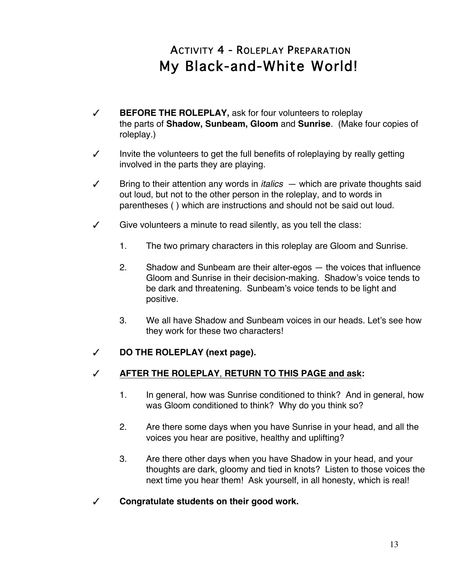# ACTIVITY 4 - ROLEPLAY PREPARATION My Black-and-White World!

- # **BEFORE THE ROLEPLAY,** ask for four volunteers to roleplay the parts of **Shadow, Sunbeam, Gloom** and **Sunrise**. (Make four copies of roleplay.)
- $\checkmark$  Invite the volunteers to get the full benefits of roleplaying by really getting involved in the parts they are playing.
- $\checkmark$  Bring to their attention any words in *italics*  $-$  which are private thoughts said out loud, but not to the other person in the roleplay, and to words in parentheses ( ) which are instructions and should not be said out loud.
- $\checkmark$  Give volunteers a minute to read silently, as you tell the class:
	- 1. The two primary characters in this roleplay are Gloom and Sunrise.
	- 2. Shadow and Sunbeam are their alter-egos the voices that influence Gloom and Sunrise in their decision-making. Shadow's voice tends to be dark and threatening. Sunbeam's voice tends to be light and positive.
	- 3. We all have Shadow and Sunbeam voices in our heads. Let's see how they work for these two characters!

# # **DO THE ROLEPLAY (next page).**

# # **AFTER THE ROLEPLAY**, **RETURN TO THIS PAGE and ask:**

- 1. In general, how was Sunrise conditioned to think? And in general, how was Gloom conditioned to think? Why do you think so?
- 2. Are there some days when you have Sunrise in your head, and all the voices you hear are positive, healthy and uplifting?
- 3. Are there other days when you have Shadow in your head, and your thoughts are dark, gloomy and tied in knots? Listen to those voices the next time you hear them! Ask yourself, in all honesty, which is real!
- # **Congratulate students on their good work.**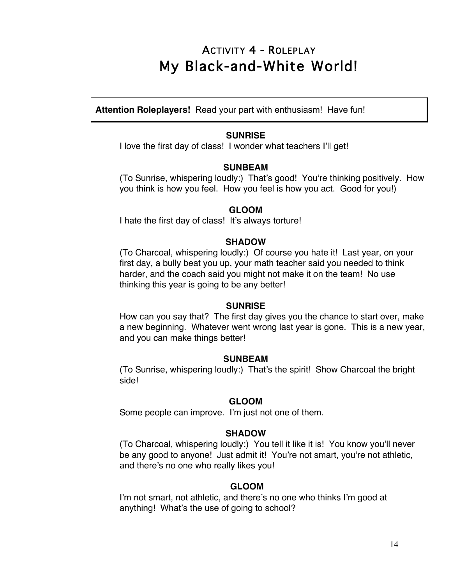# ACTIVITY 4 - ROLEPLAY My Black-and-White World!

**Attention Roleplayers!** Read your part with enthusiasm! Have fun!

#### **SUNRISE**

I love the first day of class! I wonder what teachers I'll get!

#### **SUNBEAM**

(To Sunrise, whispering loudly:) That's good! You're thinking positively. How you think is how you feel. How you feel is how you act. Good for you!)

#### **GLOOM**

I hate the first day of class! It's always torture!

#### **SHADOW**

(To Charcoal, whispering loudly:) Of course you hate it! Last year, on your first day, a bully beat you up, your math teacher said you needed to think harder, and the coach said you might not make it on the team! No use thinking this year is going to be any better!

#### **SUNRISE**

How can you say that? The first day gives you the chance to start over, make a new beginning. Whatever went wrong last year is gone. This is a new year, and you can make things better!

#### **SUNBEAM**

(To Sunrise, whispering loudly:) That's the spirit! Show Charcoal the bright side!

### **GLOOM**

Some people can improve. I'm just not one of them.

#### **SHADOW**

(To Charcoal, whispering loudly:) You tell it like it is! You know you'll never be any good to anyone! Just admit it! You're not smart, you're not athletic, and there's no one who really likes you!

### **GLOOM**

I'm not smart, not athletic, and there's no one who thinks I'm good at anything! What's the use of going to school?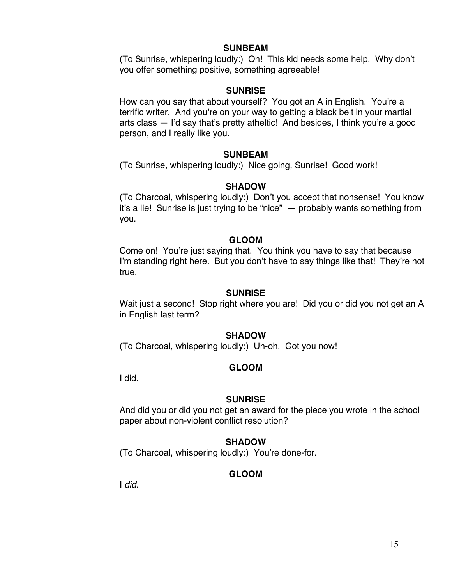#### **SUNBEAM**

(To Sunrise, whispering loudly:) Oh! This kid needs some help. Why don't you offer something positive, something agreeable!

### **SUNRISE**

How can you say that about yourself? You got an A in English. You're a terrific writer. And you're on your way to getting a black belt in your martial arts class — I'd say that's pretty atheltic! And besides, I think you're a good person, and I really like you.

### **SUNBEAM**

(To Sunrise, whispering loudly:) Nice going, Sunrise! Good work!

### **SHADOW**

(To Charcoal, whispering loudly:) Don't you accept that nonsense! You know it's a lie! Sunrise is just trying to be "nice" — probably wants something from you.

### **GLOOM**

Come on! You're just saying that. You think you have to say that because I'm standing right here. But you don't have to say things like that! They're not true.

### **SUNRISE**

Wait just a second! Stop right where you are! Did you or did you not get an A in English last term?

### **SHADOW**

(To Charcoal, whispering loudly:) Uh-oh. Got you now!

### **GLOOM**

I did.

### **SUNRISE**

And did you or did you not get an award for the piece you wrote in the school paper about non-violent conflict resolution?

# **SHADOW**

(To Charcoal, whispering loudly:) You're done-for.

# **GLOOM**

I *did*.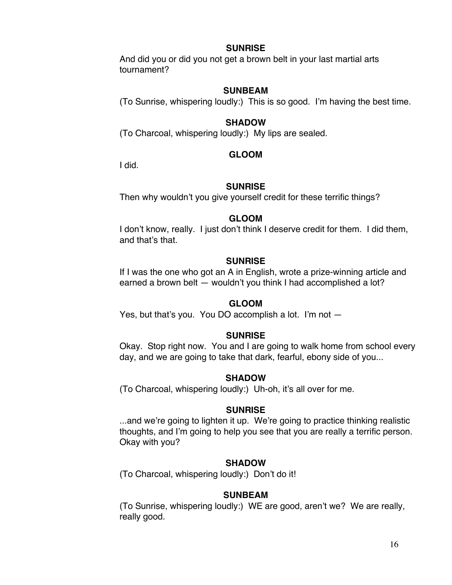#### **SUNRISE**

And did you or did you not get a brown belt in your last martial arts tournament?

### **SUNBEAM**

(To Sunrise, whispering loudly:) This is so good. I'm having the best time.

### **SHADOW**

(To Charcoal, whispering loudly:) My lips are sealed.

### **GLOOM**

I did.

### **SUNRISE**

Then why wouldn't you give yourself credit for these terrific things?

### **GLOOM**

I don't know, really. I just don't think I deserve credit for them. I did them, and that's that.

### **SUNRISE**

If I was the one who got an A in English, wrote a prize-winning article and earned a brown belt — wouldn't you think I had accomplished a lot?

# **GLOOM**

Yes, but that's you. You DO accomplish a lot. I'm not —

### **SUNRISE**

Okay. Stop right now. You and I are going to walk home from school every day, and we are going to take that dark, fearful, ebony side of you...

### **SHADOW**

(To Charcoal, whispering loudly:) Uh-oh, it's all over for me.

### **SUNRISE**

...and we're going to lighten it up. We're going to practice thinking realistic thoughts, and I'm going to help you see that you are really a terrific person. Okay with you?

# **SHADOW**

(To Charcoal, whispering loudly:) Don't do it!

### **SUNBEAM**

(To Sunrise, whispering loudly:) WE are good, aren't we? We are really, really good.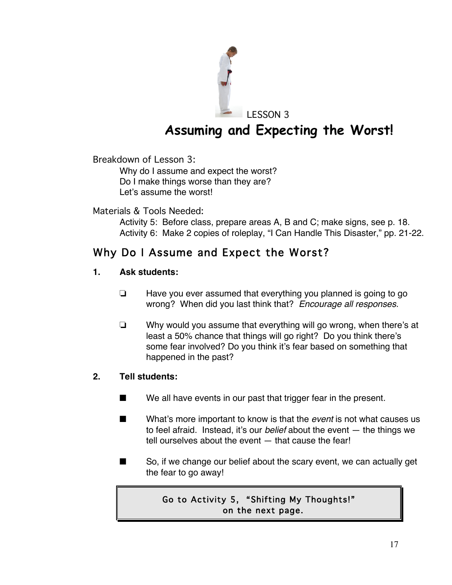

# **Assuming and Expecting the Worst!**

Breakdown of Lesson 3:

Why do I assume and expect the worst? Do I make things worse than they are? Let's assume the worst!

Materials & Tools Needed:

Activity 5: Before class, prepare areas A, B and C; make signs, see p. 18. Activity 6: Make 2 copies of roleplay, "I Can Handle This Disaster," pp. 21-22.

# Why Do I Assume and Expect the Worst?

# **1. Ask students:**

- $\Box$  Have you ever assumed that everything you planned is going to go wrong? When did you last think that? *Encourage all responses.*
- $\Box$  Why would you assume that everything will go wrong, when there's at least a 50% chance that things will go right? Do you think there's some fear involved? Do you think it's fear based on something that happened in the past?

# **2. Tell students:**

- We all have events in our past that trigger fear in the present.
- **EXECUTE:** What's more important to know is that the *event* is not what causes us to feel afraid. Instead, it's our *belief* about the event — the things we tell ourselves about the event — that cause the fear!
- So, if we change our belief about the scary event, we can actually get the fear to go away!

# Go to Activity 5, "Shifting My Thoughts!" on the next page.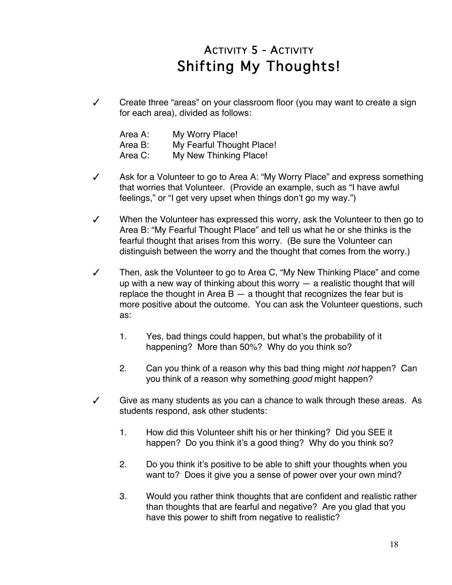# ACTIVITY 5 - ACTIVITY Shifting My Thoughts!

 $\checkmark$  Create three "areas" on your classroom floor (you may want to create a sign for each area), divided as follows:

| Area A: | My Worry Place!           |
|---------|---------------------------|
| Area B: | My Fearful Thought Place! |
| Area C: | My New Thinking Place!    |

- $\checkmark$  Ask for a Volunteer to go to Area A: "My Worry Place" and express something that worries that Volunteer. (Provide an example, such as "I have awful feelings," or "I get very upset when things don't go my way.")
- $\checkmark$  When the Volunteer has expressed this worry, ask the Volunteer to then go to Area B: "My Fearful Thought Place" and tell us what he or she thinks is the fearful thought that arises from this worry. (Be sure the Volunteer can distinguish between the worry and the thought that comes from the worry.)
- $\checkmark$  Then, ask the Volunteer to go to Area C, "My New Thinking Place" and come up with a new way of thinking about this worry — a realistic thought that will replace the thought in Area  $B - a$  thought that recognizes the fear but is more positive about the outcome. You can ask the Volunteer questions, such as:
	- 1. Yes, bad things could happen, but what's the probability of it happening? More than 50%? Why do you think so?
	- 2. Can you think of a reason why this bad thing might *not* happen? Can you think of a reason why something *good* might happen?
- $\checkmark$  Give as many students as you can a chance to walk through these areas. As students respond, ask other students:
	- 1. How did this Volunteer shift his or her thinking? Did you SEE it happen? Do you think it's a good thing? Why do you think so?
	- 2. Do you think it's positive to be able to shift your thoughts when you want to? Does it give you a sense of power over your own mind?
	- 3. Would you rather think thoughts that are confident and realistic rather than thoughts that are fearful and negative? Are you glad that you have this power to shift from negative to realistic?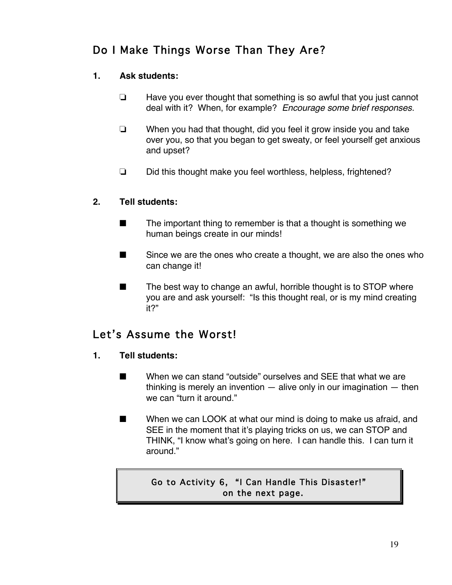# Do I Make Things Worse Than They Are?

# **1. Ask students:**

- $\Box$  Have you ever thought that something is so awful that you just cannot deal with it? When, for example? *Encourage some brief responses.*
- $\Box$  When you had that thought, did you feel it grow inside you and take over you, so that you began to get sweaty, or feel yourself get anxious and upset?
- □ Did this thought make you feel worthless, helpless, frightened?

# **2. Tell students:**

- $\blacksquare$  The important thing to remember is that a thought is something we human beings create in our minds!
- $\blacksquare$  Since we are the ones who create a thought, we are also the ones who can change it!
- $\blacksquare$  The best way to change an awful, horrible thought is to STOP where you are and ask yourself: "Is this thought real, or is my mind creating it?"

# Let's Assume the Worst!

- **1. Tell students:**
	- $\blacksquare$  When we can stand "outside" ourselves and SEE that what we are thinking is merely an invention — alive only in our imagination — then we can "turn it around."
	- $\blacksquare$  When we can LOOK at what our mind is doing to make us afraid, and SEE in the moment that it's playing tricks on us, we can STOP and THINK, "I know what's going on here. I can handle this. I can turn it around."

# Go to Activity 6, "I Can Handle This Disaster!" on the next page.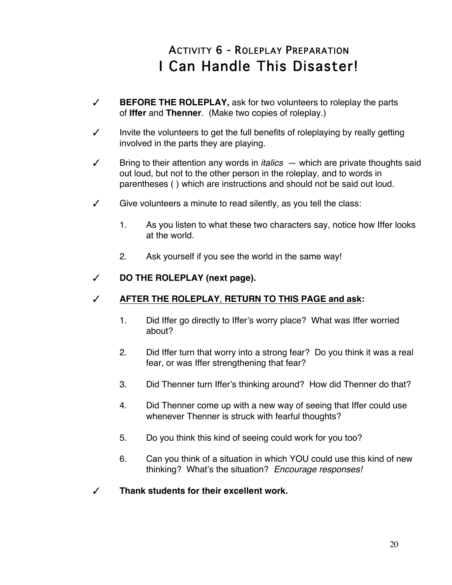# ACTIVITY 6 - ROLEPLAY PREPARATION I Can Handle This Disaster!

- # **BEFORE THE ROLEPLAY,** ask for two volunteers to roleplay the parts of **Iffer** and **Thenner**. (Make two copies of roleplay.)
- $\checkmark$  Invite the volunteers to get the full benefits of roleplaying by really getting involved in the parts they are playing.
- $\checkmark$  Bring to their attention any words in *italics*  $-$  which are private thoughts said out loud, but not to the other person in the roleplay, and to words in parentheses ( ) which are instructions and should not be said out loud.
- $\checkmark$  Give volunteers a minute to read silently, as you tell the class:
	- 1. As you listen to what these two characters say, notice how Iffer looks at the world.
	- 2. Ask yourself if you see the world in the same way!

### # **DO THE ROLEPLAY (next page).**

# # **AFTER THE ROLEPLAY**, **RETURN TO THIS PAGE and ask:**

- 1. Did Iffer go directly to Iffer's worry place? What was Iffer worried about?
- 2. Did Iffer turn that worry into a strong fear? Do you think it was a real fear, or was Iffer strengthening that fear?
- 3. Did Thenner turn Iffer's thinking around? How did Thenner do that?
- 4. Did Thenner come up with a new way of seeing that Iffer could use whenever Thenner is struck with fearful thoughts?
- 5. Do you think this kind of seeing could work for you too?
- 6. Can you think of a situation in which YOU could use this kind of new thinking? What's the situation? *Encourage responses!*
- # **Thank students for their excellent work.**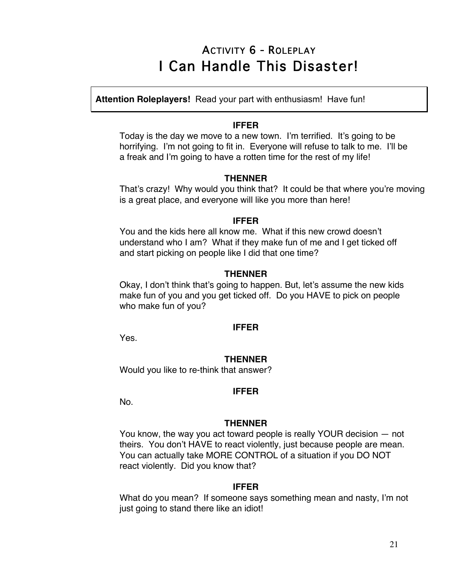# ACTIVITY 6 - ROLEPLAY I Can Handle This Disaster!

**Attention Roleplayers!** Read your part with enthusiasm! Have fun!

### **IFFER**

Today is the day we move to a new town. I'm terrified. It's going to be horrifying. I'm not going to fit in. Everyone will refuse to talk to me. I'll be a freak and I'm going to have a rotten time for the rest of my life!

### **THENNER**

That's crazy! Why would you think that? It could be that where you're moving is a great place, and everyone will like you more than here!

### **IFFER**

You and the kids here all know me. What if this new crowd doesn't understand who I am? What if they make fun of me and I get ticked off and start picking on people like I did that one time?

# **THENNER**

Okay, I don't think that's going to happen. But, let's assume the new kids make fun of you and you get ticked off. Do you HAVE to pick on people who make fun of you?

### **IFFER**

Yes.

# **THENNER**

Would you like to re-think that answer?

### **IFFER**

No.

### **THENNER**

You know, the way you act toward people is really YOUR decision — not theirs. You don't HAVE to react violently, just because people are mean. You can actually take MORE CONTROL of a situation if you DO NOT react violently. Did you know that?

### **IFFER**

What do you mean? If someone says something mean and nasty, I'm not just going to stand there like an idiot!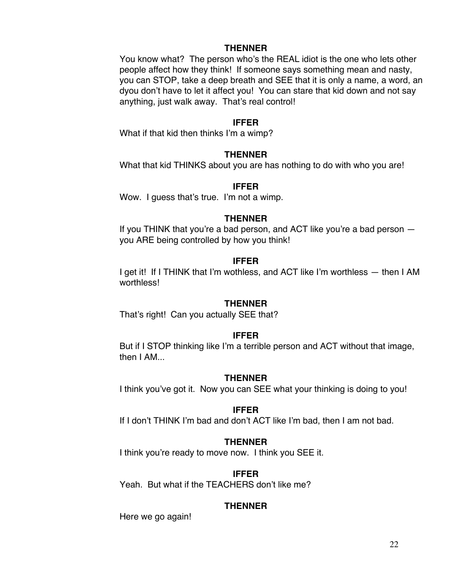#### **THENNER**

You know what? The person who's the REAL idiot is the one who lets other people affect how they think! If someone says something mean and nasty, you can STOP, take a deep breath and SEE that it is only a name, a word, an dyou don't have to let it affect you! You can stare that kid down and not say anything, just walk away. That's real control!

#### **IFFER**

What if that kid then thinks I'm a wimp?

#### **THENNER**

What that kid THINKS about you are has nothing to do with who you are!

#### **IFFER**

Wow. I guess that's true. I'm not a wimp.

#### **THENNER**

If you THINK that you're a bad person, and ACT like you're a bad person you ARE being controlled by how you think!

#### **IFFER**

I get it! If I THINK that I'm wothless, and ACT like I'm worthless — then I AM worthless!

#### **THENNER**

That's right! Can you actually SEE that?

#### **IFFER**

But if I STOP thinking like I'm a terrible person and ACT without that image, then I AM...

#### **THENNER**

I think you've got it. Now you can SEE what your thinking is doing to you!

#### **IFFER**

If I don't THINK I'm bad and don't ACT like I'm bad, then I am not bad.

#### **THENNER**

I think you're ready to move now. I think you SEE it.

#### **IFFER**

Yeah. But what if the TEACHERS don't like me?

#### **THENNER**

Here we go again!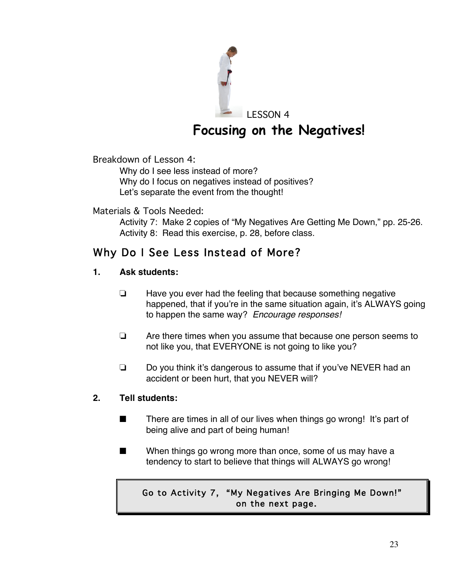

# **Focusing on the Negatives!**

Breakdown of Lesson 4:

Why do I see less instead of more? Why do I focus on negatives instead of positives? Let's separate the event from the thought!

# Materials & Tools Needed:

Activity 7: Make 2 copies of "My Negatives Are Getting Me Down," pp. 25-26. Activity 8: Read this exercise, p. 28, before class.

# Why Do I See Less Instead of More?

# **1. Ask students:**

- $\Box$  Have you ever had the feeling that because something negative happened, that if you're in the same situation again, it's ALWAYS going to happen the same way? *Encourage responses!*
- $\Box$  Are there times when you assume that because one person seems to not like you, that EVERYONE is not going to like you?
- $\Box$  Do you think it's dangerous to assume that if you've NEVER had an accident or been hurt, that you NEVER will?

# **2. Tell students:**

- $\blacksquare$  There are times in all of our lives when things go wrong! It's part of being alive and part of being human!
- $\blacksquare$  When things go wrong more than once, some of us may have a tendency to start to believe that things will ALWAYS go wrong!

# Go to Activity 7, "My Negatives Are Bringing Me Down!" on the next page.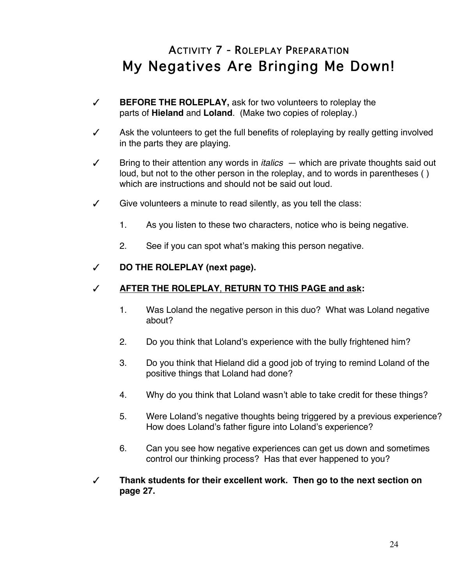# ACTIVITY 7 - ROLEPLAY PREPARATION My Negatives Are Bringing Me Down!

- # **BEFORE THE ROLEPLAY,** ask for two volunteers to roleplay the parts of **Hieland** and **Loland**. (Make two copies of roleplay.)
- Ask the volunteers to get the full benefits of roleplaying by really getting involved in the parts they are playing.
- $\checkmark$  Bring to their attention any words in *italics*  $-$  which are private thoughts said out loud, but not to the other person in the roleplay, and to words in parentheses ( ) which are instructions and should not be said out loud.
- $\checkmark$  Give volunteers a minute to read silently, as you tell the class:
	- 1. As you listen to these two characters, notice who is being negative.
	- 2. See if you can spot what's making this person negative.

### # **DO THE ROLEPLAY (next page).**

### # **AFTER THE ROLEPLAY**, **RETURN TO THIS PAGE and ask:**

- 1. Was Loland the negative person in this duo? What was Loland negative about?
- 2. Do you think that Loland's experience with the bully frightened him?
- 3. Do you think that Hieland did a good job of trying to remind Loland of the positive things that Loland had done?
- 4. Why do you think that Loland wasn't able to take credit for these things?
- 5. Were Loland's negative thoughts being triggered by a previous experience? How does Loland's father figure into Loland's experience?
- 6. Can you see how negative experiences can get us down and sometimes control our thinking process? Has that ever happened to you?
- # **Thank students for their excellent work. Then go to the next section on page 27.**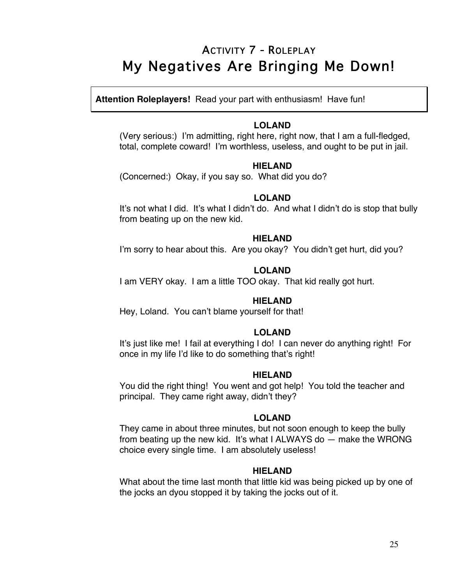# ACTIVITY 7 - ROLEPLAY My Negatives Are Bringing Me Down!

**Attention Roleplayers!** Read your part with enthusiasm! Have fun!

#### **LOLAND**

(Very serious:) I'm admitting, right here, right now, that I am a full-fledged, total, complete coward! I'm worthless, useless, and ought to be put in jail.

#### **HIELAND**

(Concerned:) Okay, if you say so. What did you do?

#### **LOLAND**

It's not what I did. It's what I didn't do. And what I didn't do is stop that bully from beating up on the new kid.

#### **HIELAND**

I'm sorry to hear about this. Are you okay? You didn't get hurt, did you?

### **LOLAND**

I am VERY okay. I am a little TOO okay. That kid really got hurt.

### **HIELAND**

Hey, Loland. You can't blame yourself for that!

### **LOLAND**

It's just like me! I fail at everything I do! I can never do anything right! For once in my life I'd like to do something that's right!

### **HIELAND**

You did the right thing! You went and got help! You told the teacher and principal. They came right away, didn't they?

### **LOLAND**

They came in about three minutes, but not soon enough to keep the bully from beating up the new kid. It's what I ALWAYS do — make the WRONG choice every single time. I am absolutely useless!

### **HIELAND**

What about the time last month that little kid was being picked up by one of the jocks an dyou stopped it by taking the jocks out of it.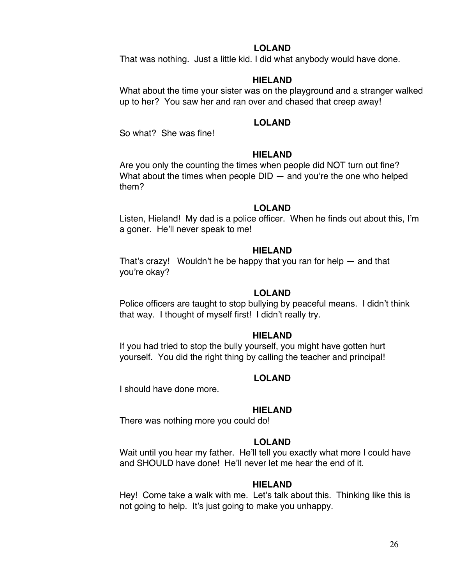#### **LOLAND**

That was nothing. Just a little kid. I did what anybody would have done.

#### **HIELAND**

What about the time your sister was on the playground and a stranger walked up to her? You saw her and ran over and chased that creep away!

#### **LOLAND**

So what? She was fine!

#### **HIELAND**

Are you only the counting the times when people did NOT turn out fine? What about the times when people  $DID -$  and you're the one who helped them?

#### **LOLAND**

Listen, Hieland! My dad is a police officer. When he finds out about this, I'm a goner. He'll never speak to me!

#### **HIELAND**

That's crazy! Wouldn't he be happy that you ran for help — and that you're okay?

#### **LOLAND**

Police officers are taught to stop bullying by peaceful means. I didn't think that way. I thought of myself first! I didn't really try.

#### **HIELAND**

If you had tried to stop the bully yourself, you might have gotten hurt yourself. You did the right thing by calling the teacher and principal!

#### **LOLAND**

I should have done more.

#### **HIELAND**

There was nothing more you could do!

#### **LOLAND**

Wait until you hear my father. He'll tell you exactly what more I could have and SHOULD have done! He'll never let me hear the end of it.

#### **HIELAND**

Hey! Come take a walk with me. Let's talk about this. Thinking like this is not going to help. It's just going to make you unhappy.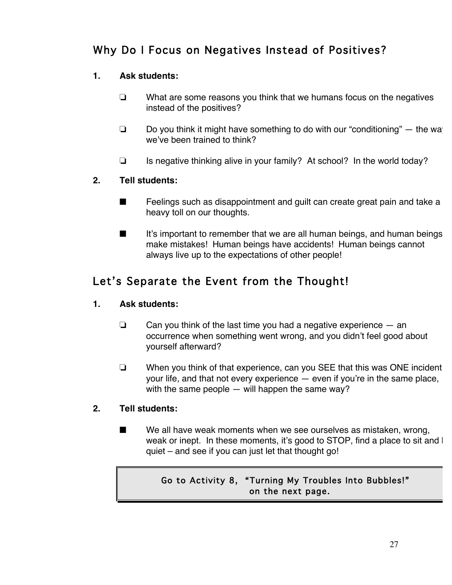# Why Do I Focus on Negatives Instead of Positives?

# **1. Ask students:**

- $\Box$  What are some reasons you think that we humans focus on the negatives instead of the positives?
- $\Box$  Do you think it might have something to do with our "conditioning"  $-$  the way we've been trained to think?
- $\Box$  Is negative thinking alive in your family? At school? In the world today?

# **2. Tell students:**

- $\blacksquare$  Feelings such as disappointment and guilt can create great pain and take a heavy toll on our thoughts.
- $\blacksquare$  It's important to remember that we are all human beings, and human beings make mistakes! Human beings have accidents! Human beings cannot always live up to the expectations of other people!

# Let's Separate the Event from the Thought!

# **1. Ask students:**

- $\Box$  Can you think of the last time you had a negative experience  $-$  an occurrence when something went wrong, and you didn't feel good about yourself afterward?
- $\Box$  When you think of that experience, can you SEE that this was ONE incident your life, and that not every experience — even if you're in the same place, with the same people — will happen the same way?

# **2. Tell students:**

 $\blacksquare$  We all have weak moments when we see ourselves as mistaken, wrong, weak or inept. In these moments, it's good to STOP, find a place to sit and I quiet – and see if you can just let that thought go!

# Go to Activity 8, "Turning My Troubles Into Bubbles!" on the next page.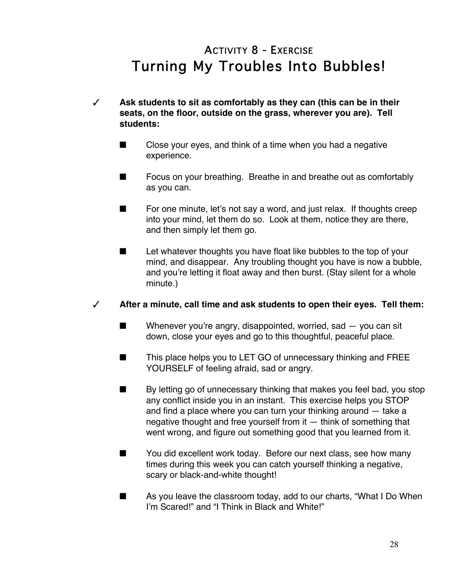# ACTIVITY 8 - EXERCISE Turning My Troubles Into Bubbles!

- # **Ask students to sit as comfortably as they can (this can be in their seats, on the floor, outside on the grass, wherever you are). Tell students:**
	- $\blacksquare$  Close your eyes, and think of a time when you had a negative experience.
	- $\blacksquare$  Focus on your breathing. Breathe in and breathe out as comfortably as you can.
	- $\blacksquare$  For one minute, let's not say a word, and just relax. If thoughts creep into your mind, let them do so. Look at them, notice they are there, and then simply let them go.
	- $\blacksquare$  Let whatever thoughts you have float like bubbles to the top of your mind, and disappear. Any troubling thought you have is now a bubble, and you're letting it float away and then burst. (Stay silent for a whole minute.)

## # **After a minute, call time and ask students to open their eyes. Tell them:**

- $\blacksquare$  Whenever you're angry, disappointed, worried, sad  $-$  you can sit down, close your eyes and go to this thoughtful, peaceful place.
- $\blacksquare$  This place helps you to LET GO of unnecessary thinking and FREE YOURSELF of feeling afraid, sad or angry.
- $\blacksquare$  By letting go of unnecessary thinking that makes you feel bad, you stop any conflict inside you in an instant. This exercise helps you STOP and find a place where you can turn your thinking around — take a negative thought and free yourself from it — think of something that went wrong, and figure out something good that you learned from it.
- $\blacksquare$  You did excellent work today. Before our next class, see how many times during this week you can catch yourself thinking a negative, scary or black-and-white thought!
- $\blacksquare$  As you leave the classroom today, add to our charts, "What I Do When I'm Scared!" and "I Think in Black and White!"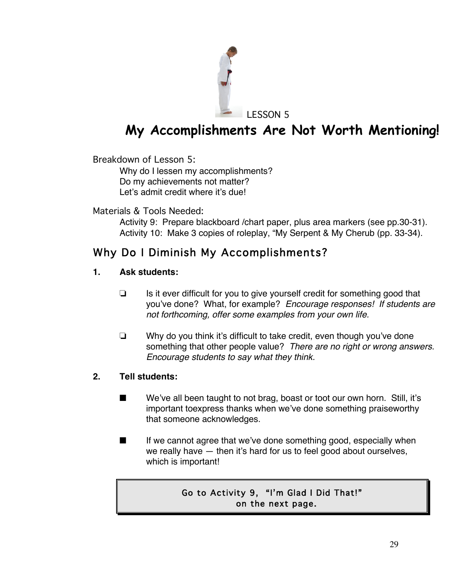

# **My Accomplishments Are Not Worth Mentioning!**

Breakdown of Lesson 5:

Why do I lessen my accomplishments? Do my achievements not matter? Let's admit credit where it's due!

## Materials & Tools Needed:

Activity 9: Prepare blackboard /chart paper, plus area markers (see pp.30-31). Activity 10: Make 3 copies of roleplay, "My Serpent & My Cherub (pp. 33-34).

## Why Do I Diminish My Accomplishments?

### **1. Ask students:**

- $\Box$  Is it ever difficult for you to give yourself credit for something good that you've done? What, for example? *Encourage responses! If students are not forthcoming, offer some examples from your own life.*
- $\Box$  Why do you think it's difficult to take credit, even though you've done something that other people value? *There are no right or wrong answers. Encourage students to say what they think.*

## **2. Tell students:**

- $\blacksquare$  We've all been taught to not brag, boast or toot our own horn. Still, it's important toexpress thanks when we've done something praiseworthy that someone acknowledges.
- **If we cannot agree that we've done something good, especially when** we really have — then it's hard for us to feel good about ourselves, which is important!

## Go to Activity 9, "I'm Glad I Did That!" on the next page.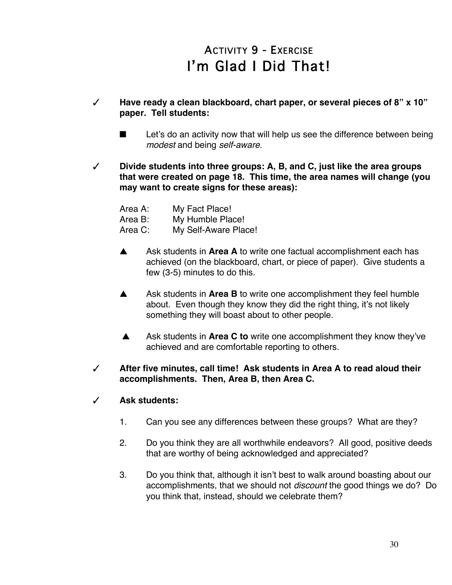# ACTIVITY 9 - EXERCISE I'm Glad I Did That!

- # **Have ready a clean blackboard, chart paper, or several pieces of 8" x 10" paper. Tell students:**
	- Let's do an activity now that will help us see the difference between being *modest* and being *self-aware*.
- # **Divide students into three groups: A, B, and C, just like the area groups that were created on page 18. This time, the area names will change (you may want to create signs for these areas):**

| Area A: | My Fact Place!       |
|---------|----------------------|
| Area B: | My Humble Place!     |
| Area C: | My Self-Aware Place! |

- A Ask students in Area A to write one factual accomplishment each has achieved (on the blackboard, chart, or piece of paper). Give students a few (3-5) minutes to do this.
- A Ask students in **Area B** to write one accomplishment they feel humble about. Even though they know they did the right thing, it's not likely something they will boast about to other people.
- A Ask students in **Area C to** write one accomplishment they know they've achieved and are comfortable reporting to others.
- # **After five minutes, call time! Ask students in Area A to read aloud their accomplishments. Then, Area B, then Area C.**
- # **Ask students:**
	- 1. Can you see any differences between these groups? What are they?
	- 2. Do you think they are all worthwhile endeavors? All good, positive deeds that are worthy of being acknowledged and appreciated?
	- 3. Do you think that, although it isn't best to walk around boasting about our accomplishments, that we should not *discount* the good things we do? Do you think that, instead, should we celebrate them?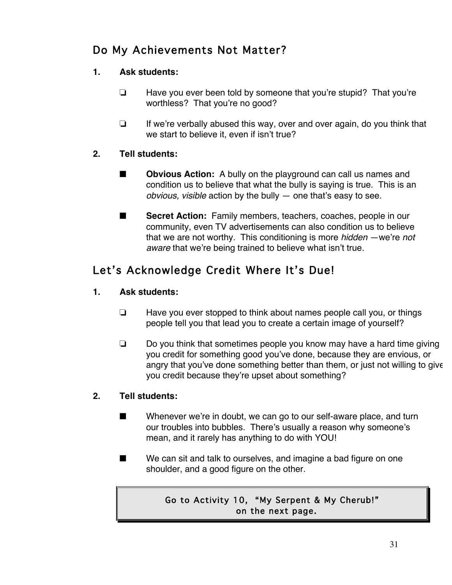## Do My Achievements Not Matter?

## **1. Ask students:**

- $\Box$  Have you ever been told by someone that you're stupid? That you're worthless? That you're no good?
- $\Box$  If we're verbally abused this way, over and over again, do you think that we start to believe it, even if isn't true?

## **2. Tell students:**

- **EXECUTE:** Obvious Action: A bully on the playground can call us names and condition us to believe that what the bully is saying is true. This is an *obvious, visible* action by the bully — one that's easy to see.
- **EXECRY Secret Action:** Family members, teachers, coaches, people in our community, even TV advertisements can also condition us to believe that we are not worthy. This conditioning is more *hidden* —we're *not aware* that we're being trained to believe what isn't true.

## Let's Acknowledge Credit Where It's Due!

## **1. Ask students:**

- $\Box$  Have you ever stopped to think about names people call you, or things people tell you that lead you to create a certain image of yourself?
- $\Box$  Do you think that sometimes people you know may have a hard time giving you credit for something good you've done, because they are envious, or angry that you've done something better than them, or just not willing to give you credit because they're upset about something?

## **2. Tell students:**

- $\blacksquare$  Whenever we're in doubt, we can go to our self-aware place, and turn our troubles into bubbles. There's usually a reason why someone's mean, and it rarely has anything to do with YOU!
- $\blacksquare$  We can sit and talk to ourselves, and imagine a bad figure on one shoulder, and a good figure on the other.

## Go to Activity 10, "My Serpent & My Cherub!" on the next page.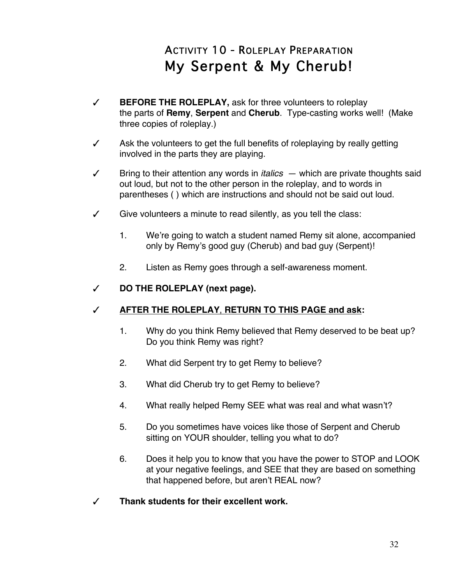# ACTIVITY 10 - ROLEPLAY PREPARATION My Serpent & My Cherub!

- # **BEFORE THE ROLEPLAY,** ask for three volunteers to roleplay the parts of **Remy**, **Serpent** and **Cherub**. Type-casting works well! (Make three copies of roleplay.)
- $\checkmark$  Ask the volunteers to get the full benefits of roleplaying by really getting involved in the parts they are playing.
- $\checkmark$  Bring to their attention any words in *italics*  $-$  which are private thoughts said out loud, but not to the other person in the roleplay, and to words in parentheses ( ) which are instructions and should not be said out loud.
- $\checkmark$  Give volunteers a minute to read silently, as you tell the class:
	- 1. We're going to watch a student named Remy sit alone, accompanied only by Remy's good guy (Cherub) and bad guy (Serpent)!
	- 2. Listen as Remy goes through a self-awareness moment.
- # **DO THE ROLEPLAY (next page).**

## # **AFTER THE ROLEPLAY**, **RETURN TO THIS PAGE and ask:**

- 1. Why do you think Remy believed that Remy deserved to be beat up? Do you think Remy was right?
- 2. What did Serpent try to get Remy to believe?
- 3. What did Cherub try to get Remy to believe?
- 4. What really helped Remy SEE what was real and what wasn't?
- 5. Do you sometimes have voices like those of Serpent and Cherub sitting on YOUR shoulder, telling you what to do?
- 6. Does it help you to know that you have the power to STOP and LOOK at your negative feelings, and SEE that they are based on something that happened before, but aren't REAL now?
- $\sqrt{ }$  Thank students for their excellent work.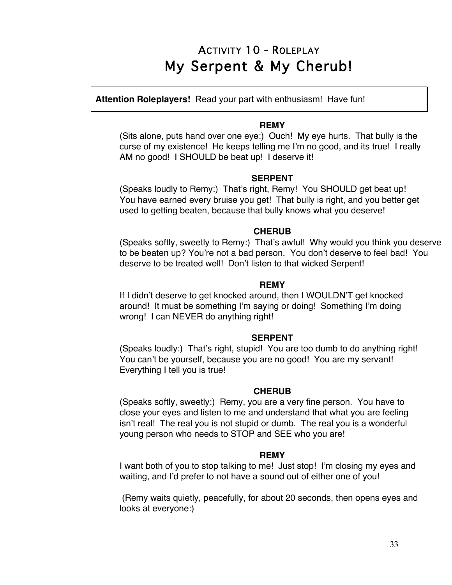## ACTIVITY 10 - ROLEPLAY My Serpent & My Cherub!

**Attention Roleplayers!** Read your part with enthusiasm! Have fun!

#### **REMY**

(Sits alone, puts hand over one eye:) Ouch! My eye hurts. That bully is the curse of my existence! He keeps telling me I'm no good, and its true! I really AM no good! I SHOULD be beat up! I deserve it!

### **SERPENT**

(Speaks loudly to Remy:) That's right, Remy! You SHOULD get beat up! You have earned every bruise you get! That bully is right, and you better get used to getting beaten, because that bully knows what you deserve!

#### **CHERUB**

(Speaks softly, sweetly to Remy:) That's awful! Why would you think you deserve to be beaten up? You're not a bad person. You don't deserve to feel bad! You deserve to be treated well! Don't listen to that wicked Serpent!

### **REMY**

If I didn't deserve to get knocked around, then I WOULDN'T get knocked around! It must be something I'm saying or doing! Something I'm doing wrong! I can NEVER do anything right!

#### **SERPENT**

(Speaks loudly:) That's right, stupid! You are too dumb to do anything right! You can't be yourself, because you are no good! You are my servant! Everything I tell you is true!

#### **CHERUB**

(Speaks softly, sweetly:) Remy, you are a very fine person. You have to close your eyes and listen to me and understand that what you are feeling isn't real! The real you is not stupid or dumb. The real you is a wonderful young person who needs to STOP and SEE who you are!

#### **REMY**

I want both of you to stop talking to me! Just stop! I'm closing my eyes and waiting, and I'd prefer to not have a sound out of either one of you!

(Remy waits quietly, peacefully, for about 20 seconds, then opens eyes and looks at everyone:)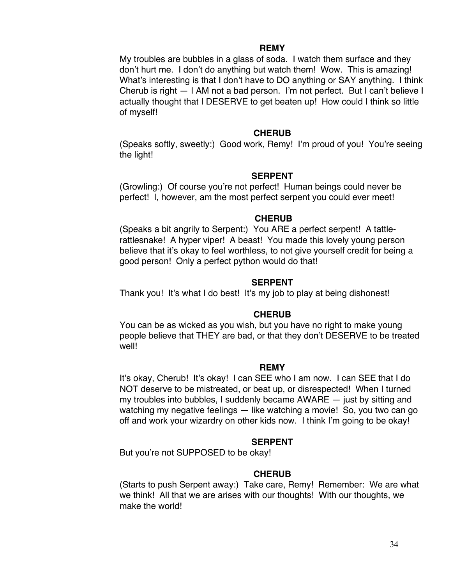#### **REMY**

My troubles are bubbles in a glass of soda. I watch them surface and they don't hurt me. I don't do anything but watch them! Wow. This is amazing! What's interesting is that I don't have to DO anything or SAY anything. I think Cherub is right — I AM not a bad person. I'm not perfect. But I can't believe I actually thought that I DESERVE to get beaten up! How could I think so little of myself!

#### **CHERUB**

(Speaks softly, sweetly:) Good work, Remy! I'm proud of you! You're seeing the light!

#### **SERPENT**

(Growling:) Of course you're not perfect! Human beings could never be perfect! I, however, am the most perfect serpent you could ever meet!

#### **CHERUB**

(Speaks a bit angrily to Serpent:) You ARE a perfect serpent! A tattlerattlesnake! A hyper viper! A beast! You made this lovely young person believe that it's okay to feel worthless, to not give yourself credit for being a good person! Only a perfect python would do that!

#### **SERPENT**

Thank you! It's what I do best! It's my job to play at being dishonest!

#### **CHERUB**

You can be as wicked as you wish, but you have no right to make young people believe that THEY are bad, or that they don't DESERVE to be treated well!

#### **REMY**

It's okay, Cherub! It's okay! I can SEE who I am now. I can SEE that I do NOT deserve to be mistreated, or beat up, or disrespected! When I turned my troubles into bubbles, I suddenly became AWARE — just by sitting and watching my negative feelings — like watching a movie! So, you two can go off and work your wizardry on other kids now. I think I'm going to be okay!

#### **SERPENT**

But you're not SUPPOSED to be okay!

#### **CHERUB**

(Starts to push Serpent away:) Take care, Remy! Remember: We are what we think! All that we are arises with our thoughts! With our thoughts, we make the world!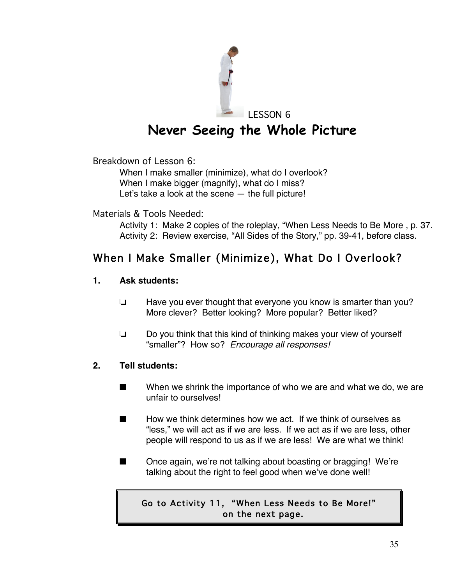

LESSON 6

# **Never Seeing the Whole Picture**

Breakdown of Lesson 6:

When I make smaller (minimize), what do I overlook? When I make bigger (magnify), what do I miss? Let's take a look at the scene — the full picture!

Materials & Tools Needed:

Activity 1: Make 2 copies of the roleplay, "When Less Needs to Be More , p. 37. Activity 2: Review exercise, "All Sides of the Story," pp. 39-41, before class.

## When I Make Smaller (Minimize), What Do I Overlook?

## **1. Ask students:**

- $\Box$  Have you ever thought that everyone you know is smarter than you? More clever? Better looking? More popular? Better liked?
- $\Box$  Do you think that this kind of thinking makes your view of yourself "smaller"? How so? *Encourage all responses!*

## **2. Tell students:**

- $\blacksquare$  When we shrink the importance of who we are and what we do, we are unfair to ourselves!
- $\blacksquare$  How we think determines how we act. If we think of ourselves as "less," we will act as if we are less. If we act as if we are less, other people will respond to us as if we are less! We are what we think!
- Once again, we're not talking about boasting or bragging! We're talking about the right to feel good when we've done well!

## Go to Activity 11, "When Less Needs to Be More!" on the next page.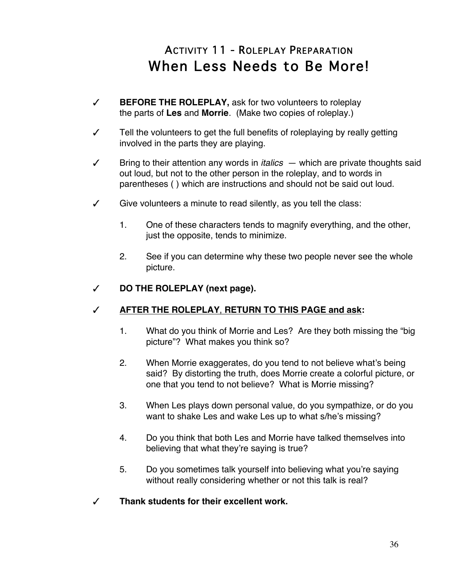# ACTIVITY 11 - ROLEPLAY PREPARATION When Less Needs to Be More!

- # **BEFORE THE ROLEPLAY,** ask for two volunteers to roleplay the parts of **Les** and **Morrie**. (Make two copies of roleplay.)
- $\checkmark$  Tell the volunteers to get the full benefits of roleplaying by really getting involved in the parts they are playing.
- $\checkmark$  Bring to their attention any words in *italics*  $-$  which are private thoughts said out loud, but not to the other person in the roleplay, and to words in parentheses ( ) which are instructions and should not be said out loud.
- $\checkmark$  Give volunteers a minute to read silently, as you tell the class:
	- 1. One of these characters tends to magnify everything, and the other, just the opposite, tends to minimize.
	- 2. See if you can determine why these two people never see the whole picture.
- # **DO THE ROLEPLAY (next page).**

## # **AFTER THE ROLEPLAY**, **RETURN TO THIS PAGE and ask:**

- 1. What do you think of Morrie and Les? Are they both missing the "big picture"? What makes you think so?
- 2. When Morrie exaggerates, do you tend to not believe what's being said? By distorting the truth, does Morrie create a colorful picture, or one that you tend to not believe? What is Morrie missing?
- 3. When Les plays down personal value, do you sympathize, or do you want to shake Les and wake Les up to what s/he's missing?
- 4. Do you think that both Les and Morrie have talked themselves into believing that what they're saying is true?
- 5. Do you sometimes talk yourself into believing what you're saying without really considering whether or not this talk is real?
- $\sqrt{ }$  Thank students for their excellent work.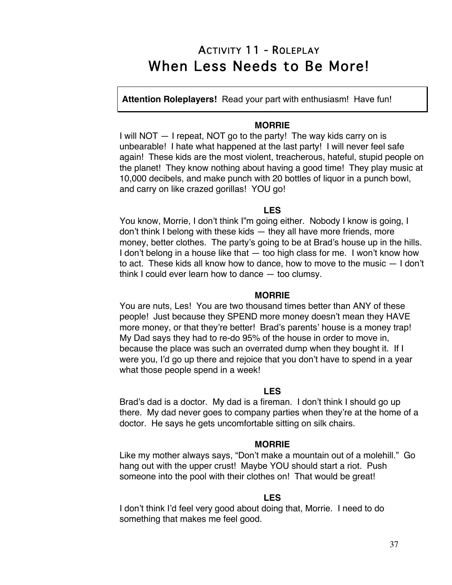## ACTIVITY 11 - ROLEPLAY When Less Needs to Be More!

**Attention Roleplayers!** Read your part with enthusiasm! Have fun!

#### **MORRIE**

I will NOT — I repeat, NOT go to the party! The way kids carry on is unbearable! I hate what happened at the last party! I will never feel safe again! These kids are the most violent, treacherous, hateful, stupid people on the planet! They know nothing about having a good time! They play music at 10,000 decibels, and make punch with 20 bottles of liquor in a punch bowl, and carry on like crazed gorillas! YOU go!

#### **LES**

You know, Morrie, I don't think I"m going either. Nobody I know is going, I don't think I belong with these kids — they all have more friends, more money, better clothes. The party's going to be at Brad's house up in the hills. I don't belong in a house like that — too high class for me. I won't know how to act. These kids all know how to dance, how to move to the music — I don't think I could ever learn how to dance — too clumsy.

#### **MORRIE**

You are nuts, Les! You are two thousand times better than ANY of these people! Just because they SPEND more money doesn't mean they HAVE more money, or that they're better! Brad's parents' house is a money trap! My Dad says they had to re-do 95% of the house in order to move in, because the place was such an overrated dump when they bought it. If I were you, I'd go up there and rejoice that you don't have to spend in a year what those people spend in a week!

#### **LES**

Brad's dad is a doctor. My dad is a fireman. I don't think I should go up there. My dad never goes to company parties when they're at the home of a doctor. He says he gets uncomfortable sitting on silk chairs.

#### **MORRIE**

Like my mother always says, "Don't make a mountain out of a molehill." Go hang out with the upper crust! Maybe YOU should start a riot. Push someone into the pool with their clothes on! That would be great!

#### **LES**

I don't think I'd feel very good about doing that, Morrie. I need to do something that makes me feel good.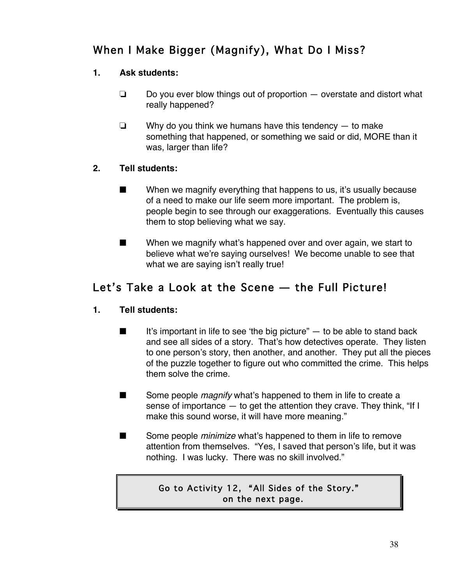## When I Make Bigger (Magnify), What Do I Miss?

## **1. Ask students:**

- $\Box$  Do you ever blow things out of proportion  $-$  overstate and distort what really happened?
- $\Box$  Why do you think we humans have this tendency  $-$  to make something that happened, or something we said or did, MORE than it was, larger than life?

## **2. Tell students:**

- $\blacksquare$  When we magnify everything that happens to us, it's usually because of a need to make our life seem more important. The problem is, people begin to see through our exaggerations. Eventually this causes them to stop believing what we say.
- $\blacksquare$  When we magnify what's happened over and over again, we start to believe what we're saying ourselves! We become unable to see that what we are saying isn't really true!

## Let's Take a Look at the Scene — the Full Picture!

## **1. Tell students:**

- $\blacksquare$  It's important in life to see 'the big picture" to be able to stand back and see all sides of a story. That's how detectives operate. They listen to one person's story, then another, and another. They put all the pieces of the puzzle together to figure out who committed the crime. This helps them solve the crime.
- **EXECUTE:** Some people *magnify* what's happened to them in life to create a sense of importance — to get the attention they crave. They think, "If I make this sound worse, it will have more meaning."
- **EXECUTE:** Some people *minimize* what's happened to them in life to remove attention from themselves. "Yes, I saved that person's life, but it was nothing. I was lucky. There was no skill involved."

## Go to Activity 12, "All Sides of the Story." on the next page.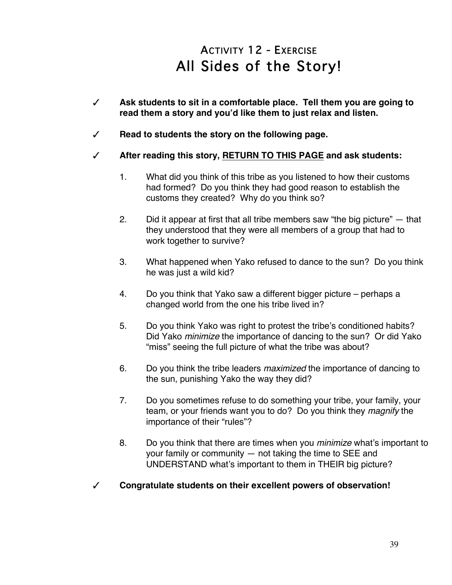# ACTIVITY 12 - EXERCISE All Sides of the Story!

- # **Ask students to sit in a comfortable place. Tell them you are going to read them a story and you'd like them to just relax and listen.**
- # **Read to students the story on the following page.**
- # **After reading this story, RETURN TO THIS PAGE and ask students:**
	- 1. What did you think of this tribe as you listened to how their customs had formed? Do you think they had good reason to establish the customs they created? Why do you think so?
	- 2. Did it appear at first that all tribe members saw "the big picture" that they understood that they were all members of a group that had to work together to survive?
	- 3. What happened when Yako refused to dance to the sun? Do you think he was just a wild kid?
	- 4. Do you think that Yako saw a different bigger picture perhaps a changed world from the one his tribe lived in?
	- 5. Do you think Yako was right to protest the tribe's conditioned habits? Did Yako *minimize* the importance of dancing to the sun? Or did Yako "miss" seeing the full picture of what the tribe was about?
	- 6. Do you think the tribe leaders *maximized* the importance of dancing to the sun, punishing Yako the way they did?
	- 7. Do you sometimes refuse to do something your tribe, your family, your team, or your friends want you to do? Do you think they *magnify* the importance of their "rules"?
	- 8. Do you think that there are times when you *minimize* what's important to your family or community — not taking the time to SEE and UNDERSTAND what's important to them in THEIR big picture?
- # **Congratulate students on their excellent powers of observation!**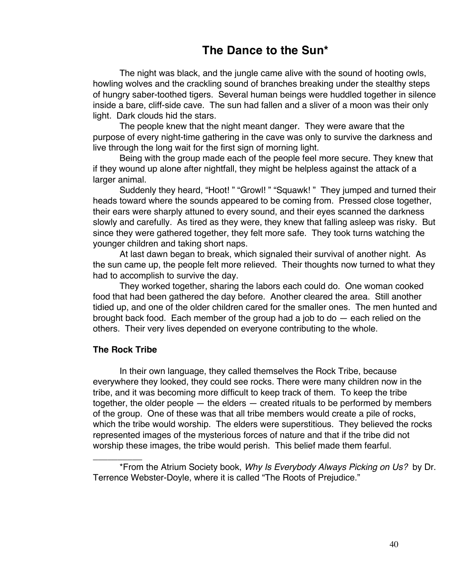## **The Dance to the Sun\***

The night was black, and the jungle came alive with the sound of hooting owls, howling wolves and the crackling sound of branches breaking under the stealthy steps of hungry saber-toothed tigers. Several human beings were huddled together in silence inside a bare, cliff-side cave. The sun had fallen and a sliver of a moon was their only light. Dark clouds hid the stars.

The people knew that the night meant danger. They were aware that the purpose of every night-time gathering in the cave was only to survive the darkness and live through the long wait for the first sign of morning light.

Being with the group made each of the people feel more secure. They knew that if they wound up alone after nightfall, they might be helpless against the attack of a larger animal.

Suddenly they heard, "Hoot! " "Growl! " "Squawk! " They jumped and turned their heads toward where the sounds appeared to be coming from. Pressed close together, their ears were sharply attuned to every sound, and their eyes scanned the darkness slowly and carefully. As tired as they were, they knew that falling asleep was risky. But since they were gathered together, they felt more safe. They took turns watching the younger children and taking short naps.

At last dawn began to break, which signaled their survival of another night. As the sun came up, the people felt more relieved. Their thoughts now turned to what they had to accomplish to survive the day.

They worked together, sharing the labors each could do. One woman cooked food that had been gathered the day before. Another cleared the area. Still another tidied up, and one of the older children cared for the smaller ones. The men hunted and brought back food. Each member of the group had a job to do — each relied on the others. Their very lives depended on everyone contributing to the whole.

#### **The Rock Tribe**

\_\_\_\_\_\_\_\_\_\_

In their own language, they called themselves the Rock Tribe, because everywhere they looked, they could see rocks. There were many children now in the tribe, and it was becoming more difficult to keep track of them. To keep the tribe together, the older people  $-$  the elders  $-$  created rituals to be performed by members of the group. One of these was that all tribe members would create a pile of rocks, which the tribe would worship. The elders were superstitious. They believed the rocks represented images of the mysterious forces of nature and that if the tribe did not worship these images, the tribe would perish. This belief made them fearful.

\*From the Atrium Society book, *Why Is Everybody Always Picking on Us?* by Dr. Terrence Webster-Doyle, where it is called "The Roots of Prejudice."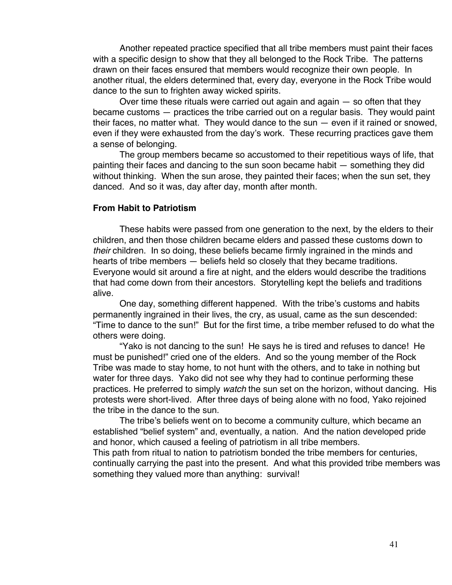Another repeated practice specified that all tribe members must paint their faces with a specific design to show that they all belonged to the Rock Tribe. The patterns drawn on their faces ensured that members would recognize their own people. In another ritual, the elders determined that, every day, everyone in the Rock Tribe would dance to the sun to frighten away wicked spirits.

Over time these rituals were carried out again and again — so often that they became customs — practices the tribe carried out on a regular basis. They would paint their faces, no matter what. They would dance to the sun — even if it rained or snowed, even if they were exhausted from the day's work. These recurring practices gave them a sense of belonging.

The group members became so accustomed to their repetitious ways of life, that painting their faces and dancing to the sun soon became habit — something they did without thinking. When the sun arose, they painted their faces; when the sun set, they danced. And so it was, day after day, month after month.

#### **From Habit to Patriotism**

These habits were passed from one generation to the next, by the elders to their children, and then those children became elders and passed these customs down to *their* children. In so doing, these beliefs became firmly ingrained in the minds and hearts of tribe members — beliefs held so closely that they became traditions. Everyone would sit around a fire at night, and the elders would describe the traditions that had come down from their ancestors. Storytelling kept the beliefs and traditions alive.

One day, something different happened. With the tribe's customs and habits permanently ingrained in their lives, the cry, as usual, came as the sun descended: "Time to dance to the sun!" But for the first time, a tribe member refused to do what the others were doing.

"Yako is not dancing to the sun! He says he is tired and refuses to dance! He must be punished!" cried one of the elders. And so the young member of the Rock Tribe was made to stay home, to not hunt with the others, and to take in nothing but water for three days. Yako did not see why they had to continue performing these practices. He preferred to simply *watch* the sun set on the horizon, without dancing. His protests were short-lived. After three days of being alone with no food, Yako rejoined the tribe in the dance to the sun.

The tribe's beliefs went on to become a community culture, which became an established "belief system" and, eventually, a nation. And the nation developed pride and honor, which caused a feeling of patriotism in all tribe members.

This path from ritual to nation to patriotism bonded the tribe members for centuries, continually carrying the past into the present. And what this provided tribe members was something they valued more than anything: survival!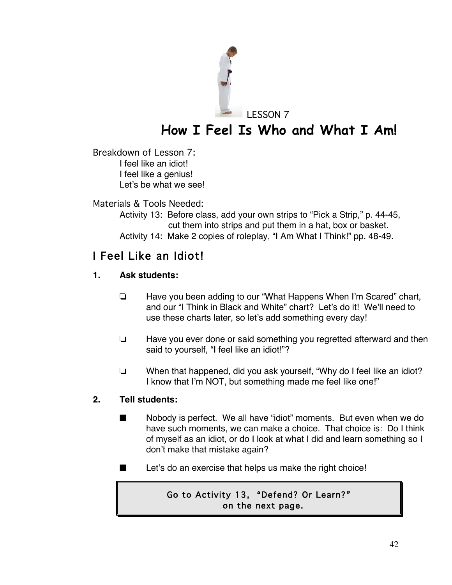

# **How I Feel Is Who and What I Am!**

LESSON 7

Breakdown of Lesson 7: I feel like an idiot! I feel like a genius! Let's be what we see!

Materials & Tools Needed:

Activity 13: Before class, add your own strips to "Pick a Strip," p. 44-45, cut them into strips and put them in a hat, box or basket. Activity 14: Make 2 copies of roleplay, "I Am What I Think!" pp. 48-49.

## I Feel Like an Idiot!

## **1. Ask students:**

- $\Box$  Have you been adding to our "What Happens When I'm Scared" chart, and our "I Think in Black and White" chart? Let's do it! We'll need to use these charts later, so let's add something every day!
- $\Box$  Have you ever done or said something you regretted afterward and then said to yourself, "I feel like an idiot!"?
- $\Box$  When that happened, did you ask yourself, "Why do I feel like an idiot? I know that I'm NOT, but something made me feel like one!"

## **2. Tell students:**

- $\blacksquare$  Nobody is perfect. We all have "idiot" moments. But even when we do have such moments, we can make a choice. That choice is: Do I think of myself as an idiot, or do I look at what I did and learn something so I don't make that mistake again?
- $\blacksquare$  Let's do an exercise that helps us make the right choice!

## Go to Activity 13, "Defend? Or Learn?" on the next page.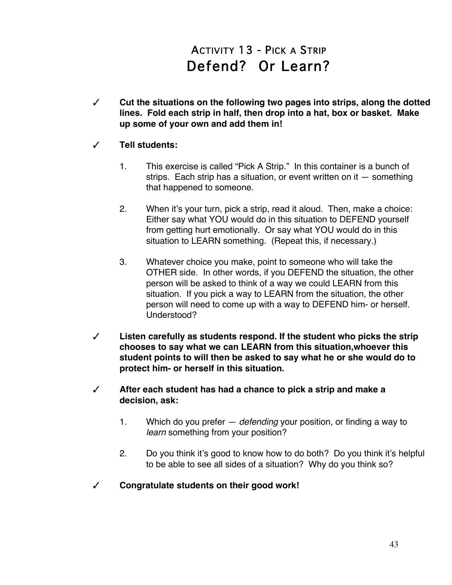# ACTIVITY 13 - PICK A STRIP Defend? Or Learn?

# **Cut the situations on the following two pages into strips, along the dotted lines. Fold each strip in half, then drop into a hat, box or basket. Make up some of your own and add them in!**

## # **Tell students:**

- 1. This exercise is called "Pick A Strip." In this container is a bunch of strips. Each strip has a situation, or event written on it — something that happened to someone.
- 2. When it's your turn, pick a strip, read it aloud. Then, make a choice: Either say what YOU would do in this situation to DEFEND yourself from getting hurt emotionally. Or say what YOU would do in this situation to LEARN something. (Repeat this, if necessary.)
- 3. Whatever choice you make, point to someone who will take the OTHER side. In other words, if you DEFEND the situation, the other person will be asked to think of a way we could LEARN from this situation. If you pick a way to LEARN from the situation, the other person will need to come up with a way to DEFEND him- or herself. Understood?
- $\checkmark$  Listen carefully as students respond. If the student who picks the strip **chooses to say what we can LEARN from this situation,whoever this student points to will then be asked to say what he or she would do to protect him- or herself in this situation.**
- # **After each student has had a chance to pick a strip and make a decision, ask:**
	- 1. Which do you prefer *defending* your position, or finding a way to *learn* something from your position?
	- 2. Do you think it's good to know how to do both? Do you think it's helpful to be able to see all sides of a situation? Why do you think so?
- # **Congratulate students on their good work!**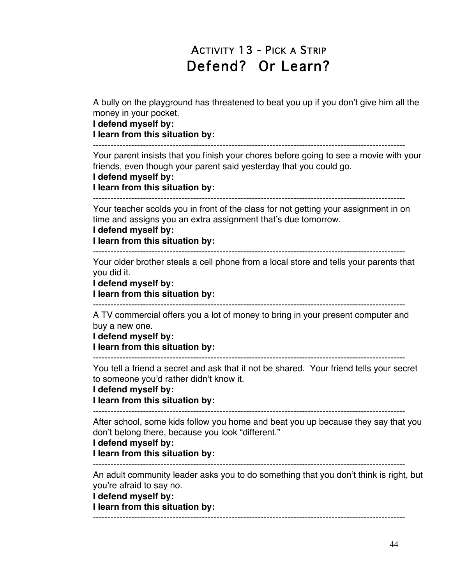# ACTIVITY 13 - PICK A STRIP Defend? Or Learn?

A bully on the playground has threatened to beat you up if you don't give him all the money in your pocket.

**I defend myself by:**

**I learn from this situation by:**

----------------------------------------------------------------------------------------------------------

Your parent insists that you finish your chores before going to see a movie with your friends, even though your parent said yesterday that you could go.

#### **I defend myself by:**

**I learn from this situation by:**

----------------------------------------------------------------------------------------------------------

Your teacher scolds you in front of the class for not getting your assignment in on time and assigns you an extra assignment that's due tomorrow.

#### **I defend myself by:**

**I learn from this situation by:**

----------------------------------------------------------------------------------------------------------

Your older brother steals a cell phone from a local store and tells your parents that you did it.

**I defend myself by: I learn from this situation by:**

----------------------------------------------------------------------------------------------------------

A TV commercial offers you a lot of money to bring in your present computer and buy a new one.

**I defend myself by:**

**I learn from this situation by:**

----------------------------------------------------------------------------------------------------------

You tell a friend a secret and ask that it not be shared. Your friend tells your secret to someone you'd rather didn't know it.

**I defend myself by:**

**I learn from this situation by:**

----------------------------------------------------------------------------------------------------------

After school, some kids follow you home and beat you up because they say that you don't belong there, because you look "different."

#### **I defend myself by:**

**I learn from this situation by:**

----------------------------------------------------------------------------------------------------------

An adult community leader asks you to do something that you don't think is right, but you're afraid to say no.

**I defend myself by:**

**I learn from this situation by:**

----------------------------------------------------------------------------------------------------------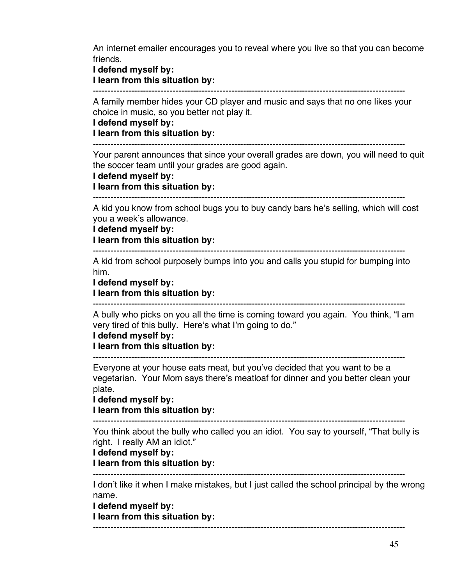An internet emailer encourages you to reveal where you live so that you can become friends.

#### **I defend myself by: I learn from this situation by:**

----------------------------------------------------------------------------------------------------------

A family member hides your CD player and music and says that no one likes your choice in music, so you better not play it.

#### **I defend myself by:**

**I learn from this situation by:**

----------------------------------------------------------------------------------------------------------

Your parent announces that since your overall grades are down, you will need to quit the soccer team until your grades are good again.

#### **I defend myself by:**

**I learn from this situation by:**

----------------------------------------------------------------------------------------------------------

A kid you know from school bugs you to buy candy bars he's selling, which will cost you a week's allowance.

#### **I defend myself by:**

**I learn from this situation by:**

----------------------------------------------------------------------------------------------------------

A kid from school purposely bumps into you and calls you stupid for bumping into him.

**I defend myself by:**

**I learn from this situation by:**

A bully who picks on you all the time is coming toward you again. You think, "I am very tired of this bully. Here's what I'm going to do."

----------------------------------------------------------------------------------------------------------

#### **I defend myself by:**

**I learn from this situation by:**

----------------------------------------------------------------------------------------------------------

Everyone at your house eats meat, but you've decided that you want to be a vegetarian. Your Mom says there's meatloaf for dinner and you better clean your plate.

#### **I defend myself by:**

**I learn from this situation by:**

----------------------------------------------------------------------------------------------------------

You think about the bully who called you an idiot. You say to yourself, "That bully is right. I really AM an idiot."

## **I defend myself by:**

**I learn from this situation by:**

I don't like it when I make mistakes, but I just called the school principal by the wrong name.

----------------------------------------------------------------------------------------------------------

----------------------------------------------------------------------------------------------------------

**I defend myself by:**

**I learn from this situation by:**

45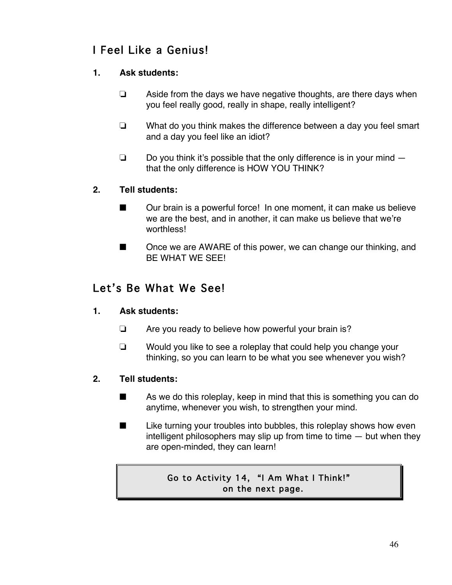## I Feel Like a Genius!

## **1. Ask students:**

- $\Box$  Aside from the days we have negative thoughts, are there days when you feel really good, really in shape, really intelligent?
- $\Box$  What do you think makes the difference between a day you feel smart and a day you feel like an idiot?
- $\Box$  Do you think it's possible that the only difference is in your mind  $$ that the only difference is HOW YOU THINK?

## **2. Tell students:**

- $\Box$  Our brain is a powerful force! In one moment, it can make us believe we are the best, and in another, it can make us believe that we're worthless!
- $\blacksquare$  Once we are AWARE of this power, we can change our thinking, and BE WHAT WE SEE!

## Let's Be What We See!

## **1. Ask students:**

- $\Box$  Are you ready to believe how powerful your brain is?
- $\Box$  Would you like to see a roleplay that could help you change your thinking, so you can learn to be what you see whenever you wish?

## **2. Tell students:**

- $\blacksquare$  As we do this roleplay, keep in mind that this is something you can do anytime, whenever you wish, to strengthen your mind.
- $\blacksquare$  Like turning your troubles into bubbles, this roleplay shows how even intelligent philosophers may slip up from time to time  $-$  but when they are open-minded, they can learn!

## Go to Activity 14, "I Am What I Think!" on the next page.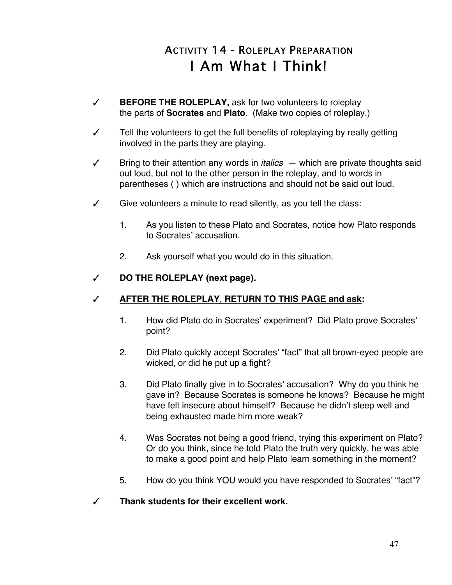# ACTIVITY 14 - ROLEPLAY PREPARATION I Am What I Think!

- # **BEFORE THE ROLEPLAY,** ask for two volunteers to roleplay the parts of **Socrates** and **Plato**. (Make two copies of roleplay.)
- $\checkmark$  Tell the volunteers to get the full benefits of roleplaying by really getting involved in the parts they are playing.
- $\checkmark$  Bring to their attention any words in *italics*  $-$  which are private thoughts said out loud, but not to the other person in the roleplay, and to words in parentheses ( ) which are instructions and should not be said out loud.
- $\checkmark$  Give volunteers a minute to read silently, as you tell the class:
	- 1. As you listen to these Plato and Socrates, notice how Plato responds to Socrates' accusation.
	- 2. Ask yourself what you would do in this situation.

## # **DO THE ROLEPLAY (next page).**

## # **AFTER THE ROLEPLAY**, **RETURN TO THIS PAGE and ask:**

- 1. How did Plato do in Socrates' experiment? Did Plato prove Socrates' point?
- 2. Did Plato quickly accept Socrates' "fact" that all brown-eyed people are wicked, or did he put up a fight?
- 3. Did Plato finally give in to Socrates' accusation? Why do you think he gave in? Because Socrates is someone he knows? Because he might have felt insecure about himself? Because he didn't sleep well and being exhausted made him more weak?
- 4. Was Socrates not being a good friend, trying this experiment on Plato? Or do you think, since he told Plato the truth very quickly, he was able to make a good point and help Plato learn something in the moment?
- 5. How do you think YOU would you have responded to Socrates' "fact"?
- $\sqrt{ }$  Thank students for their excellent work.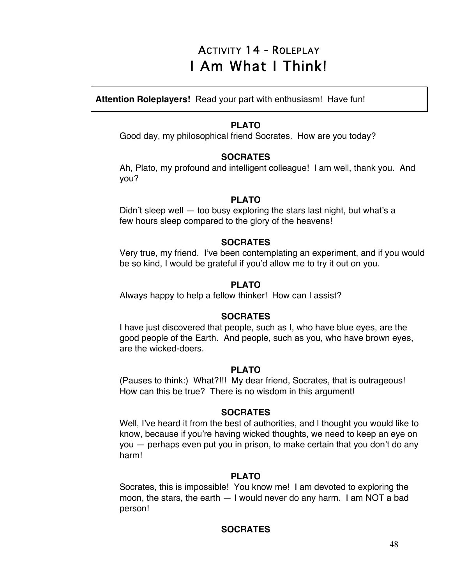# ACTIVITY 14 - ROLEPLAY I Am What I Think!

**Attention Roleplayers!** Read your part with enthusiasm! Have fun!

## **PLATO**

Good day, my philosophical friend Socrates. How are you today?

### **SOCRATES**

Ah, Plato, my profound and intelligent colleague! I am well, thank you. And you?

## **PLATO**

Didn't sleep well — too busy exploring the stars last night, but what's a few hours sleep compared to the glory of the heavens!

## **SOCRATES**

Very true, my friend. I've been contemplating an experiment, and if you would be so kind, I would be grateful if you'd allow me to try it out on you.

## **PLATO**

Always happy to help a fellow thinker! How can I assist?

## **SOCRATES**

I have just discovered that people, such as I, who have blue eyes, are the good people of the Earth. And people, such as you, who have brown eyes, are the wicked-doers.

## **PLATO**

(Pauses to think:) What?!!! My dear friend, Socrates, that is outrageous! How can this be true? There is no wisdom in this argument!

## **SOCRATES**

Well, I've heard it from the best of authorities, and I thought you would like to know, because if you're having wicked thoughts, we need to keep an eye on you — perhaps even put you in prison, to make certain that you don't do any harm!

## **PLATO**

Socrates, this is impossible! You know me! I am devoted to exploring the moon, the stars, the earth — I would never do any harm. I am NOT a bad person!

## **SOCRATES**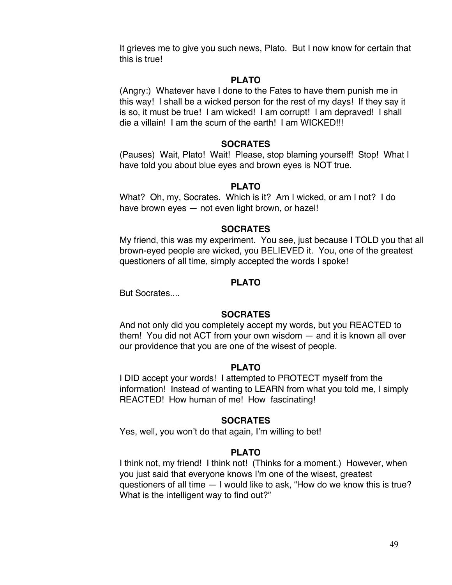It grieves me to give you such news, Plato. But I now know for certain that this is true!

#### **PLATO**

(Angry:) Whatever have I done to the Fates to have them punish me in this way! I shall be a wicked person for the rest of my days! If they say it is so, it must be true! I am wicked! I am corrupt! I am depraved! I shall die a villain! I am the scum of the earth! I am WICKED!!!

#### **SOCRATES**

(Pauses) Wait, Plato! Wait! Please, stop blaming yourself! Stop! What I have told you about blue eyes and brown eyes is NOT true.

#### **PLATO**

What? Oh, my, Socrates. Which is it? Am I wicked, or am I not? I do have brown eyes — not even light brown, or hazel!

#### **SOCRATES**

My friend, this was my experiment. You see, just because I TOLD you that all brown-eyed people are wicked, you BELIEVED it. You, one of the greatest questioners of all time, simply accepted the words I spoke!

#### **PLATO**

But Socrates....

#### **SOCRATES**

And not only did you completely accept my words, but you REACTED to them! You did not ACT from your own wisdom — and it is known all over our providence that you are one of the wisest of people.

#### **PLATO**

I DID accept your words! I attempted to PROTECT myself from the information! Instead of wanting to LEARN from what you told me, I simply REACTED! How human of me! How fascinating!

#### **SOCRATES**

Yes, well, you won't do that again, I'm willing to bet!

#### **PLATO**

I think not, my friend! I think not! (Thinks for a moment.) However, when you just said that everyone knows I'm one of the wisest, greatest questioners of all time — I would like to ask, "How do we know this is true? What is the intelligent way to find out?"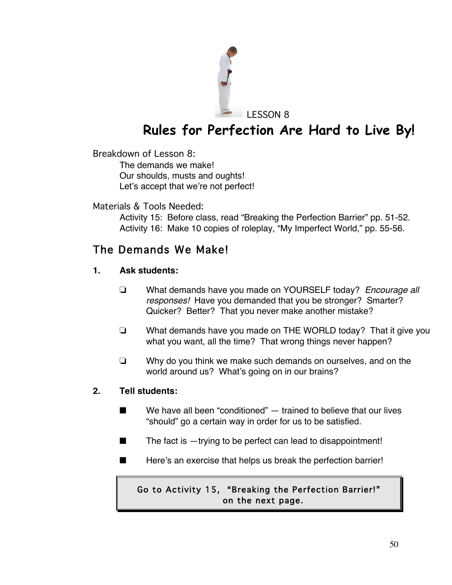

# **Rules for Perfection Are Hard to Live By!**

Breakdown of Lesson 8:

The demands we make! Our shoulds, musts and oughts! Let's accept that we're not perfect!

Materials & Tools Needed:

Activity 15: Before class, read "Breaking the Perfection Barrier" pp. 51-52. Activity 16: Make 10 copies of roleplay, "My Imperfect World," pp. 55-56.

## The Demands We Make!

## **1. Ask students:**

- ! What demands have you made on YOURSELF today? *Encourage all responses!* Have you demanded that you be stronger? Smarter? Quicker? Better? That you never make another mistake?
- $\Box$  What demands have you made on THE WORLD today? That it give you what you want, all the time? That wrong things never happen?
- $\Box$  Why do you think we make such demands on ourselves, and on the world around us? What's going on in our brains?

## **2. Tell students:**

- $\blacksquare$  We have all been "conditioned"  $-$  trained to believe that our lives "should" go a certain way in order for us to be satisfied.
- $\blacksquare$  The fact is  $-$ trying to be perfect can lead to disappointment!
- $\blacksquare$  Here's an exercise that helps us break the perfection barrier!

## Go to Activity 15, "Breaking the Perfection Barrier!" on the next page.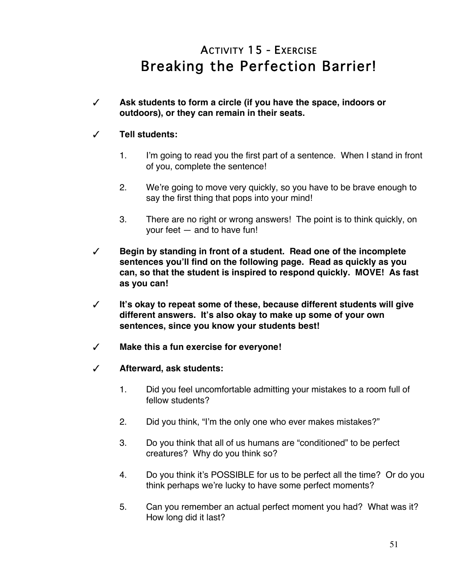# ACTIVITY 15 - EXERCISE Breaking the Perfection Barrier!

# **Ask students to form a circle (if you have the space, indoors or outdoors), or they can remain in their seats.**

## # **Tell students:**

- 1. I'm going to read you the first part of a sentence. When I stand in front of you, complete the sentence!
- 2. We're going to move very quickly, so you have to be brave enough to say the first thing that pops into your mind!
- 3. There are no right or wrong answers! The point is to think quickly, on your feet — and to have fun!
- # **Begin by standing in front of a student. Read one of the incomplete sentences you'll find on the following page. Read as quickly as you can, so that the student is inspired to respond quickly. MOVE! As fast as you can!**
- # **It's okay to repeat some of these, because different students will give different answers. It's also okay to make up some of your own sentences, since you know your students best!**
- # **Make this a fun exercise for everyone!**
- # **Afterward, ask students:**
	- 1. Did you feel uncomfortable admitting your mistakes to a room full of fellow students?
	- 2. Did you think, "I'm the only one who ever makes mistakes?"
	- 3. Do you think that all of us humans are "conditioned" to be perfect creatures? Why do you think so?
	- 4. Do you think it's POSSIBLE for us to be perfect all the time? Or do you think perhaps we're lucky to have some perfect moments?
	- 5. Can you remember an actual perfect moment you had? What was it? How long did it last?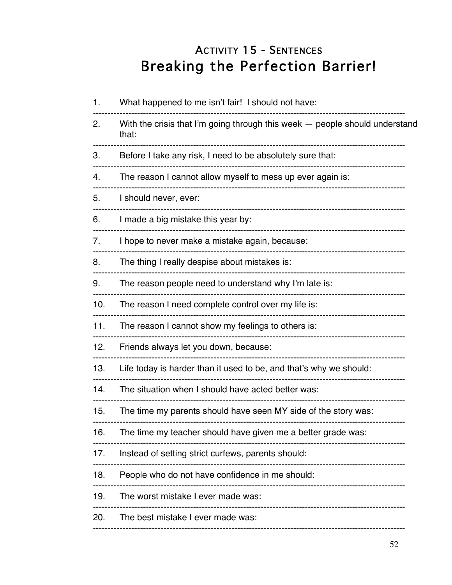# **ACTIVITY 15 - SENTENCES Breaking the Perfection Barrier!**

| 1.  | What happened to me isn't fair! I should not have:                                   |
|-----|--------------------------------------------------------------------------------------|
| 2.  | With the crisis that I'm going through this week — people should understand<br>that: |
| 3.  | Before I take any risk, I need to be absolutely sure that:                           |
| 4.  | The reason I cannot allow myself to mess up ever again is:                           |
| 5.  | I should never, ever:                                                                |
| 6.  | I made a big mistake this year by:                                                   |
| 7.  | I hope to never make a mistake again, because:                                       |
| 8.  | The thing I really despise about mistakes is:                                        |
| 9.  | The reason people need to understand why I'm late is:                                |
| 10. | The reason I need complete control over my life is:                                  |
| 11. | The reason I cannot show my feelings to others is:                                   |
| 12. | Friends always let you down, because:                                                |
| 13. | Life today is harder than it used to be, and that's why we should:                   |
| 14. | The situation when I should have acted better was:                                   |
| 15. | The time my parents should have seen MY side of the story was:                       |
| 16. | The time my teacher should have given me a better grade was:                         |
| 17. | Instead of setting strict curfews, parents should:                                   |
| 18. | People who do not have confidence in me should:                                      |
| 19. | The worst mistake I ever made was:                                                   |
| 20. | The best mistake I ever made was:                                                    |
|     |                                                                                      |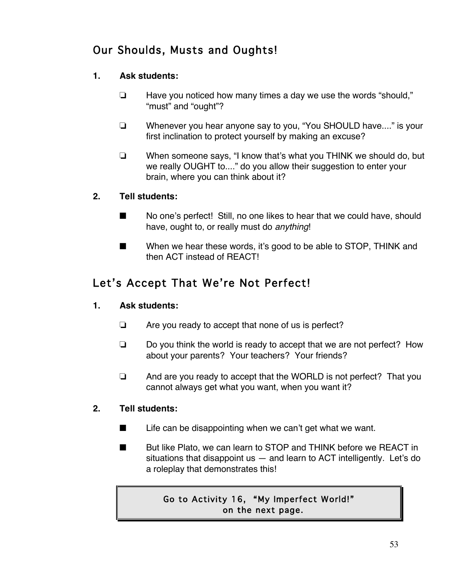## Our Shoulds, Musts and Oughts!

## **1. Ask students:**

- $\Box$  Have you noticed how many times a day we use the words "should," "must" and "ought"?
- $\Box$  Whenever you hear anyone say to you, "You SHOULD have...." is your first inclination to protect yourself by making an excuse?
- $\Box$  When someone says, "I know that's what you THINK we should do, but we really OUGHT to...." do you allow their suggestion to enter your brain, where you can think about it?

## **2. Tell students:**

- $\blacksquare$  No one's perfect! Still, no one likes to hear that we could have, should have, ought to, or really must do *anything*!
- **Now When we hear these words, it's good to be able to STOP, THINK and** then ACT instead of REACT!

## Let's Accept That We're Not Perfect!

## **1. Ask students:**

- $\Box$  Are you ready to accept that none of us is perfect?
- $\Box$  Do you think the world is ready to accept that we are not perfect? How about your parents? Your teachers? Your friends?
- $\Box$  And are you ready to accept that the WORLD is not perfect? That you cannot always get what you want, when you want it?

## **2. Tell students:**

- $\blacksquare$  Life can be disappointing when we can't get what we want.
- But like Plato, we can learn to STOP and THINK before we REACT in situations that disappoint us — and learn to ACT intelligently. Let's do a roleplay that demonstrates this!

## Go to Activity 16, "My Imperfect World!" on the next page.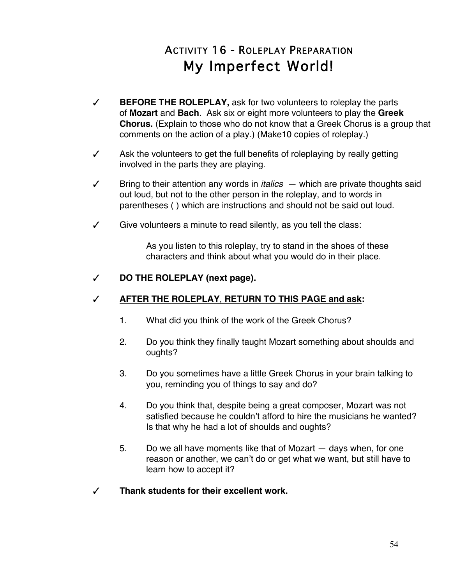# ACTIVITY 16 - ROLEPLAY PREPARATION My Imperfect World!

- # **BEFORE THE ROLEPLAY,** ask for two volunteers to roleplay the parts of **Mozart** and **Bach**. Ask six or eight more volunteers to play the **Greek Chorus.** (Explain to those who do not know that a Greek Chorus is a group that comments on the action of a play.) (Make10 copies of roleplay.)
- $\checkmark$  Ask the volunteers to get the full benefits of roleplaying by really getting involved in the parts they are playing.
- $\checkmark$  Bring to their attention any words in *italics*  $-$  which are private thoughts said out loud, but not to the other person in the roleplay, and to words in parentheses ( ) which are instructions and should not be said out loud.
- $\checkmark$  Give volunteers a minute to read silently, as you tell the class:

As you listen to this roleplay, try to stand in the shoes of these characters and think about what you would do in their place.

## # **DO THE ROLEPLAY (next page).**

## # **AFTER THE ROLEPLAY**, **RETURN TO THIS PAGE and ask:**

- 1. What did you think of the work of the Greek Chorus?
- 2. Do you think they finally taught Mozart something about shoulds and oughts?
- 3. Do you sometimes have a little Greek Chorus in your brain talking to you, reminding you of things to say and do?
- 4. Do you think that, despite being a great composer, Mozart was not satisfied because he couldn't afford to hire the musicians he wanted? Is that why he had a lot of shoulds and oughts?
- 5. Do we all have moments like that of Mozart days when, for one reason or another, we can't do or get what we want, but still have to learn how to accept it?
- # **Thank students for their excellent work.**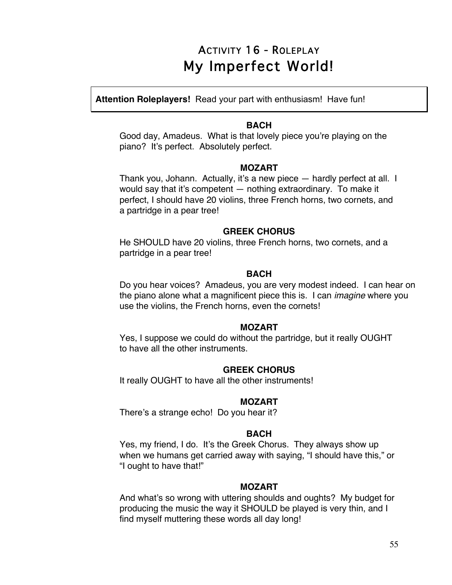## ACTIVITY 16 - ROLEPLAY My Imperfect World!

**Attention Roleplayers!** Read your part with enthusiasm! Have fun!

#### **BACH**

Good day, Amadeus. What is that lovely piece you're playing on the piano? It's perfect. Absolutely perfect.

#### **MOZART**

Thank you, Johann. Actually, it's a new piece — hardly perfect at all. I would say that it's competent — nothing extraordinary. To make it perfect, I should have 20 violins, three French horns, two cornets, and a partridge in a pear tree!

#### **GREEK CHORUS**

He SHOULD have 20 violins, three French horns, two cornets, and a partridge in a pear tree!

#### **BACH**

Do you hear voices? Amadeus, you are very modest indeed. I can hear on the piano alone what a magnificent piece this is. I can *imagine* where you use the violins, the French horns, even the cornets!

#### **MOZART**

Yes, I suppose we could do without the partridge, but it really OUGHT to have all the other instruments.

#### **GREEK CHORUS**

It really OUGHT to have all the other instruments!

#### **MOZART**

There's a strange echo! Do you hear it?

#### **BACH**

Yes, my friend, I do. It's the Greek Chorus. They always show up when we humans get carried away with saying, "I should have this," or "I ought to have that!"

#### **MOZART**

And what's so wrong with uttering shoulds and oughts? My budget for producing the music the way it SHOULD be played is very thin, and I find myself muttering these words all day long!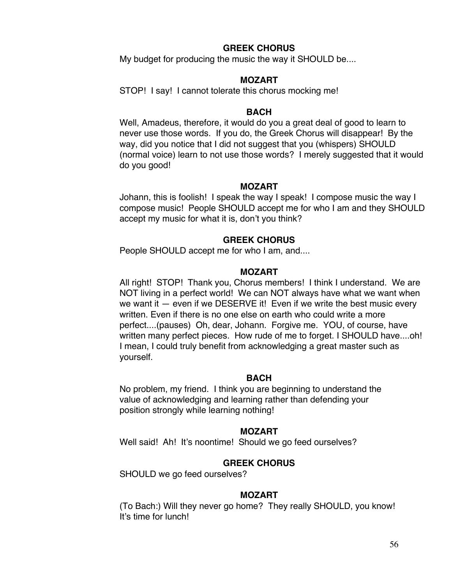#### **GREEK CHORUS**

My budget for producing the music the way it SHOULD be....

#### **MOZART**

STOP! I say! I cannot tolerate this chorus mocking me!

#### **BACH**

Well, Amadeus, therefore, it would do you a great deal of good to learn to never use those words. If you do, the Greek Chorus will disappear! By the way, did you notice that I did not suggest that you (whispers) SHOULD (normal voice) learn to not use those words? I merely suggested that it would do you good!

#### **MOZART**

Johann, this is foolish! I speak the way I speak! I compose music the way I compose music! People SHOULD accept me for who I am and they SHOULD accept my music for what it is, don't you think?

### **GREEK CHORUS**

People SHOULD accept me for who I am, and....

#### **MOZART**

All right! STOP! Thank you, Chorus members! I think I understand. We are NOT living in a perfect world! We can NOT always have what we want when we want it – even if we DESERVE it! Even if we write the best music every written. Even if there is no one else on earth who could write a more perfect....(pauses) Oh, dear, Johann. Forgive me. YOU, of course, have written many perfect pieces. How rude of me to forget. I SHOULD have....oh! I mean, I could truly benefit from acknowledging a great master such as yourself.

#### **BACH**

No problem, my friend. I think you are beginning to understand the value of acknowledging and learning rather than defending your position strongly while learning nothing!

#### **MOZART**

Well said! Ah! It's noontime! Should we go feed ourselves?

#### **GREEK CHORUS**

SHOULD we go feed ourselves?

#### **MOZART**

(To Bach:) Will they never go home? They really SHOULD, you know! It's time for lunch!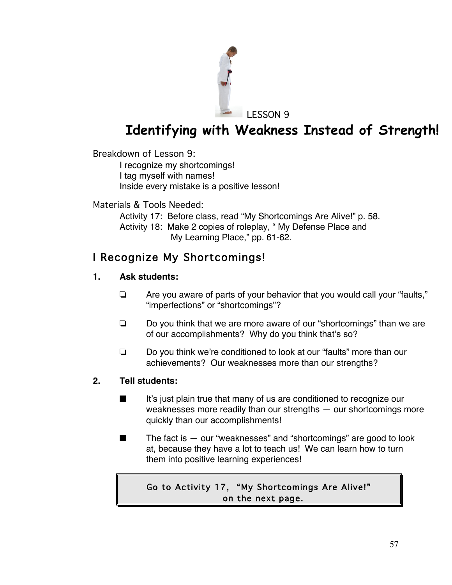

# **Identifying with Weakness Instead of Strength!**

Breakdown of Lesson 9:

I recognize my shortcomings! I tag myself with names! Inside every mistake is a positive lesson!

Materials & Tools Needed:

Activity 17: Before class, read "My Shortcomings Are Alive!" p. 58. Activity 18: Make 2 copies of roleplay, " My Defense Place and My Learning Place," pp. 61-62.

## I Recognize My Shortcomings!

## **1. Ask students:**

- $\Box$  Are you aware of parts of your behavior that you would call your "faults," "imperfections" or "shortcomings"?
- $\Box$  Do you think that we are more aware of our "shortcomings" than we are of our accomplishments? Why do you think that's so?
- □ Do you think we're conditioned to look at our "faults" more than our achievements? Our weaknesses more than our strengths?

## **2. Tell students:**

- $\blacksquare$  It's just plain true that many of us are conditioned to recognize our weaknesses more readily than our strengths — our shortcomings more quickly than our accomplishments!
- $\blacksquare$  The fact is  $-$  our "weaknesses" and "shortcomings" are good to look at, because they have a lot to teach us! We can learn how to turn them into positive learning experiences!

Go to Activity 17, "My Shortcomings Are Alive!" on the next page.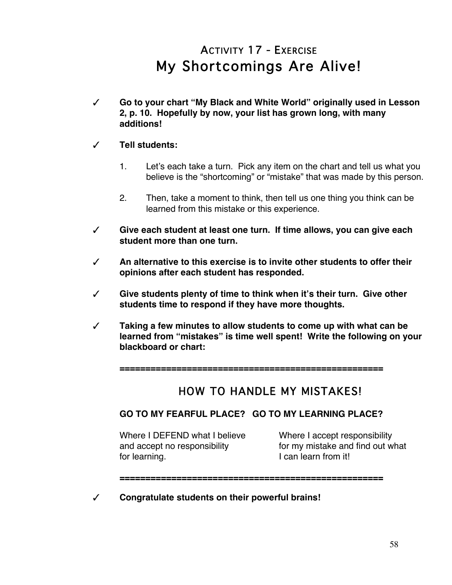# ACTIVITY 17 - EXERCISE My Shortcomings Are Alive!

# **Go to your chart "My Black and White World" originally used in Lesson 2, p. 10. Hopefully by now, your list has grown long, with many additions!**

## # **Tell students:**

- 1. Let's each take a turn. Pick any item on the chart and tell us what you believe is the "shortcoming" or "mistake" that was made by this person.
- 2. Then, take a moment to think, then tell us one thing you think can be learned from this mistake or this experience.
- # **Give each student at least one turn. If time allows, you can give each student more than one turn.**
- # **An alternative to this exercise is to invite other students to offer their opinions after each student has responded.**
- # **Give students plenty of time to think when it's their turn. Give other students time to respond if they have more thoughts.**
- # **Taking a few minutes to allow students to come up with what can be learned from "mistakes" is time well spent! Write the following on your blackboard or chart:**

**===================================================**

## **HOW TO HANDLE MY MISTAKES!**

## **GO TO MY FEARFUL PLACE? GO TO MY LEARNING PLACE?**

Where I DEFEND what I believe Where I accept responsibility for learning. The state of the local learn from it!

and accept no responsibility for my mistake and find out what

## **===================================================**

# **Congratulate students on their powerful brains!**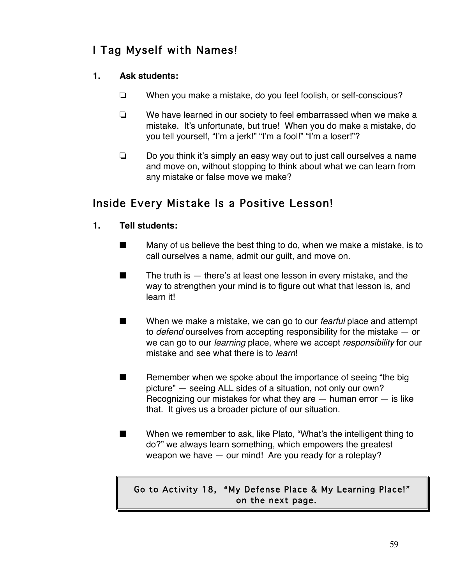## I Tag Myself with Names!

## **1. Ask students:**

- $\Box$  When you make a mistake, do you feel foolish, or self-conscious?
- $\Box$  We have learned in our society to feel embarrassed when we make a mistake. It's unfortunate, but true! When you do make a mistake, do you tell yourself, "I'm a jerk!" "I'm a fool!" "I'm a loser!"?
- $\Box$  Do you think it's simply an easy way out to just call ourselves a name and move on, without stopping to think about what we can learn from any mistake or false move we make?

## Inside Every Mistake Is a Positive Lesson!

- **1. Tell students:**
	- $\blacksquare$  Many of us believe the best thing to do, when we make a mistake, is to call ourselves a name, admit our guilt, and move on.
	- $\blacksquare$  The truth is  $-$  there's at least one lesson in every mistake, and the way to strengthen your mind is to figure out what that lesson is, and learn it!
	- When we make a mistake, we can go to our *fearful* place and attempt to *defend* ourselves from accepting responsibility for the mistake — or we can go to our *learning* place, where we accept *responsibility* for our mistake and see what there is to *learn*!
	- $\blacksquare$  Remember when we spoke about the importance of seeing "the big picture" — seeing ALL sides of a situation, not only our own? Recognizing our mistakes for what they are  $-$  human error  $-$  is like that. It gives us a broader picture of our situation.
	- $\blacksquare$  When we remember to ask, like Plato, "What's the intelligent thing to do?" we always learn something, which empowers the greatest weapon we have — our mind! Are you ready for a roleplay?

## Go to Activity 18, "My Defense Place & My Learning Place!" on the next page.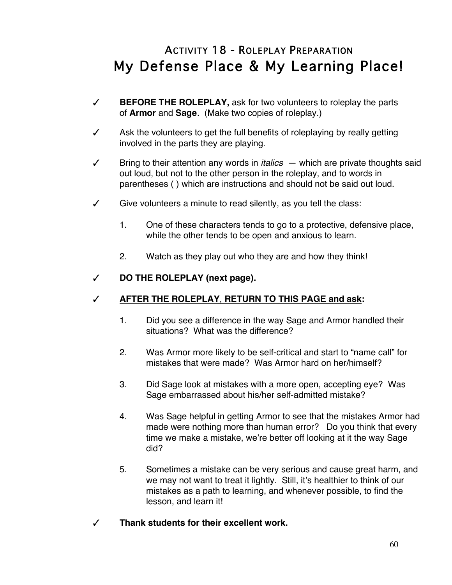# ACTIVITY 18 - ROLEPLAY PREPARATION My Defense Place & My Learning Place!

- # **BEFORE THE ROLEPLAY,** ask for two volunteers to roleplay the parts of **Armor** and **Sage**. (Make two copies of roleplay.)
- $\checkmark$  Ask the volunteers to get the full benefits of roleplaying by really getting involved in the parts they are playing.
- $\checkmark$  Bring to their attention any words in *italics*  $-$  which are private thoughts said out loud, but not to the other person in the roleplay, and to words in parentheses ( ) which are instructions and should not be said out loud.
- $\checkmark$  Give volunteers a minute to read silently, as you tell the class:
	- 1. One of these characters tends to go to a protective, defensive place, while the other tends to be open and anxious to learn.
	- 2. Watch as they play out who they are and how they think!

### # **DO THE ROLEPLAY (next page).**

## # **AFTER THE ROLEPLAY**, **RETURN TO THIS PAGE and ask:**

- 1. Did you see a difference in the way Sage and Armor handled their situations? What was the difference?
- 2. Was Armor more likely to be self-critical and start to "name call" for mistakes that were made? Was Armor hard on her/himself?
- 3. Did Sage look at mistakes with a more open, accepting eye? Was Sage embarrassed about his/her self-admitted mistake?
- 4. Was Sage helpful in getting Armor to see that the mistakes Armor had made were nothing more than human error? Do you think that every time we make a mistake, we're better off looking at it the way Sage did?
- 5. Sometimes a mistake can be very serious and cause great harm, and we may not want to treat it lightly. Still, it's healthier to think of our mistakes as a path to learning, and whenever possible, to find the lesson, and learn it!
- # **Thank students for their excellent work.**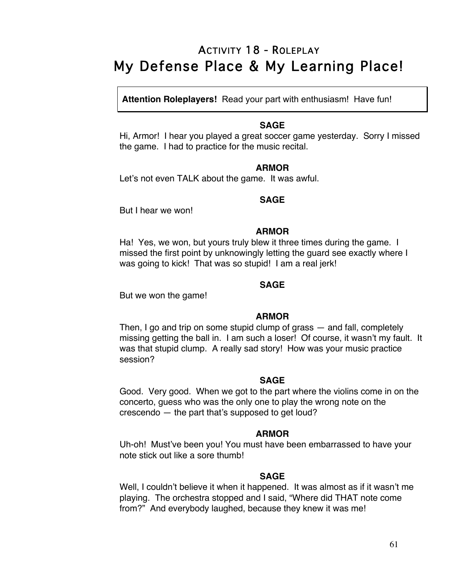## ACTIVITY 18 - ROLEPLAY My Defense Place & My Learning Place!

**Attention Roleplayers!** Read your part with enthusiasm! Have fun!

#### **SAGE**

Hi, Armor! I hear you played a great soccer game yesterday. Sorry I missed the game. I had to practice for the music recital.

#### **ARMOR**

Let's not even TALK about the game. It was awful.

## **SAGE**

But I hear we won!

#### **ARMOR**

Ha! Yes, we won, but yours truly blew it three times during the game. I missed the first point by unknowingly letting the guard see exactly where I was going to kick! That was so stupid! I am a real jerk!

### **SAGE**

But we won the game!

#### **ARMOR**

Then, I go and trip on some stupid clump of grass — and fall, completely missing getting the ball in. I am such a loser! Of course, it wasn't my fault. It was that stupid clump. A really sad story! How was your music practice session?

#### **SAGE**

Good. Very good. When we got to the part where the violins come in on the concerto, guess who was the only one to play the wrong note on the crescendo — the part that's supposed to get loud?

#### **ARMOR**

Uh-oh! Must've been you! You must have been embarrassed to have your note stick out like a sore thumb!

## **SAGE**

Well, I couldn't believe it when it happened. It was almost as if it wasn't me playing. The orchestra stopped and I said, "Where did THAT note come from?" And everybody laughed, because they knew it was me!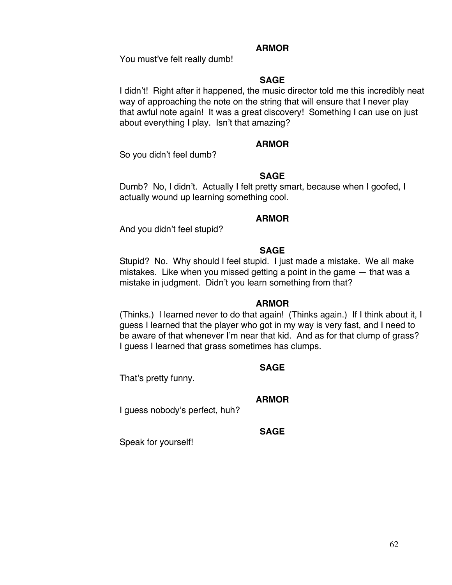#### **ARMOR**

You must've felt really dumb!

### **SAGE**

I didn't! Right after it happened, the music director told me this incredibly neat way of approaching the note on the string that will ensure that I never play that awful note again! It was a great discovery! Something I can use on just about everything I play. Isn't that amazing?

#### **ARMOR**

So you didn't feel dumb?

#### **SAGE**

Dumb? No, I didn't. Actually I felt pretty smart, because when I goofed, I actually wound up learning something cool.

#### **ARMOR**

And you didn't feel stupid?

#### **SAGE**

Stupid? No. Why should I feel stupid. I just made a mistake. We all make mistakes. Like when you missed getting a point in the game — that was a mistake in judgment. Didn't you learn something from that?

#### **ARMOR**

(Thinks.) I learned never to do that again! (Thinks again.) If I think about it, I guess I learned that the player who got in my way is very fast, and I need to be aware of that whenever I'm near that kid. And as for that clump of grass? I guess I learned that grass sometimes has clumps.

#### **SAGE**

That's pretty funny.

#### **ARMOR**

I guess nobody's perfect, huh?

#### **SAGE**

Speak for yourself!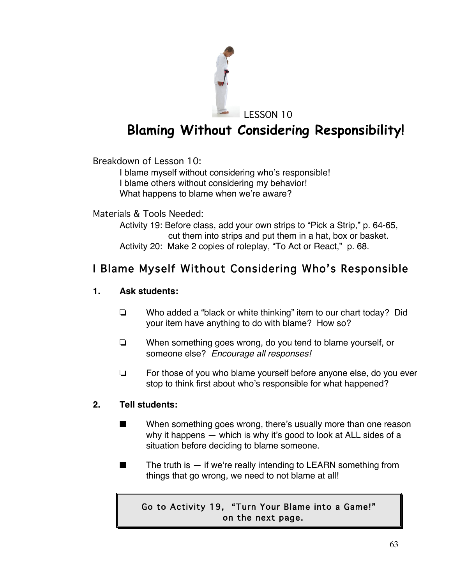

# **Blaming Without Considering Responsibility!**

Breakdown of Lesson 10:

I blame myself without considering who's responsible! I blame others without considering my behavior! What happens to blame when we're aware?

Materials & Tools Needed:

Activity 19: Before class, add your own strips to "Pick a Strip," p. 64-65, cut them into strips and put them in a hat, box or basket. Activity 20: Make 2 copies of roleplay, "To Act or React," p. 68.

## I Blame Myself Without Considering Who's Responsible

## **1. Ask students:**

- $\Box$  Who added a "black or white thinking" item to our chart today? Did your item have anything to do with blame? How so?
- $\Box$  When something goes wrong, do you tend to blame yourself, or someone else? *Encourage all responses!*
- $\Box$  For those of you who blame yourself before anyone else, do you ever stop to think first about who's responsible for what happened?

## **2. Tell students:**

- $\blacksquare$  When something goes wrong, there's usually more than one reason why it happens — which is why it's good to look at ALL sides of a situation before deciding to blame someone.
- $\blacksquare$  The truth is  $-$  if we're really intending to LEARN something from things that go wrong, we need to not blame at all!

## Go to Activity 19, "Turn Your Blame into a Game!" on the next page.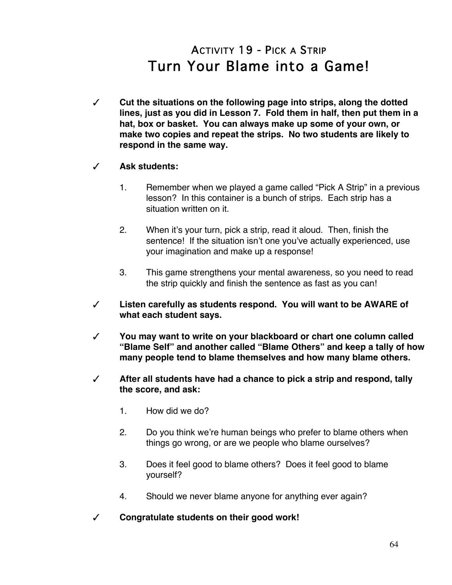# ACTIVITY 19 - PICK A STRIP Turn Your Blame into a Game!

- # **Cut the situations on the following page into strips, along the dotted lines, just as you did in Lesson 7. Fold them in half, then put them in a hat, box or basket. You can always make up some of your own, or make two copies and repeat the strips. No two students are likely to respond in the same way.**
- # **Ask students:**
	- 1. Remember when we played a game called "Pick A Strip" in a previous lesson? In this container is a bunch of strips. Each strip has a situation written on it.
	- 2. When it's your turn, pick a strip, read it aloud. Then, finish the sentence! If the situation isn't one you've actually experienced, use your imagination and make up a response!
	- 3. This game strengthens your mental awareness, so you need to read the strip quickly and finish the sentence as fast as you can!
- # **Listen carefully as students respond. You will want to be AWARE of what each student says.**
- # **You may want to write on your blackboard or chart one column called "Blame Self" and another called "Blame Others" and keep a tally of how many people tend to blame themselves and how many blame others.**
- # **After all students have had a chance to pick a strip and respond, tally the score, and ask:**
	- 1. How did we do?
	- 2. Do you think we're human beings who prefer to blame others when things go wrong, or are we people who blame ourselves?
	- 3. Does it feel good to blame others? Does it feel good to blame yourself?
	- 4. Should we never blame anyone for anything ever again?
- # **Congratulate students on their good work!**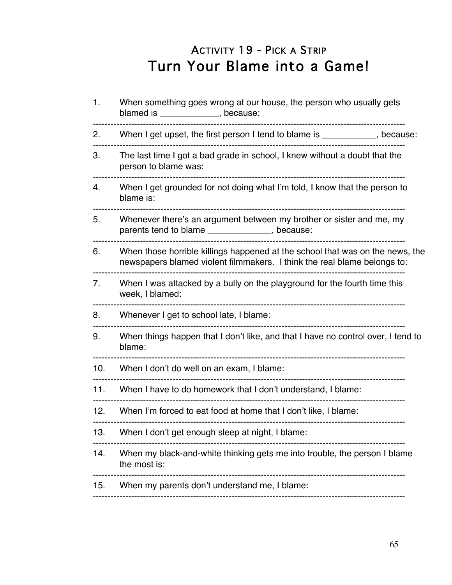# ACTIVITY 19 - PICK A STRIP Turn Your Blame into a Game!

| 1.  | When something goes wrong at our house, the person who usually gets<br>blamed is _____________, because:                                                  |
|-----|-----------------------------------------------------------------------------------------------------------------------------------------------------------|
| 2.  | When I get upset, the first person I tend to blame is __________, because:                                                                                |
| 3.  | The last time I got a bad grade in school, I knew without a doubt that the<br>person to blame was:                                                        |
| 4.  | When I get grounded for not doing what I'm told, I know that the person to<br>blame is:                                                                   |
| 5.  | Whenever there's an argument between my brother or sister and me, my<br>parents tend to blame ______________, because:                                    |
| 6.  | When those horrible killings happened at the school that was on the news, the<br>newspapers blamed violent filmmakers. I think the real blame belongs to: |
| 7.  | When I was attacked by a bully on the playground for the fourth time this<br>week, I blamed:                                                              |
| 8.  | Whenever I get to school late, I blame:                                                                                                                   |
| 9.  | When things happen that I don't like, and that I have no control over, I tend to<br>blame:                                                                |
| 10. | When I don't do well on an exam, I blame:                                                                                                                 |
| 11. | When I have to do homework that I don't understand, I blame:                                                                                              |
| 12. | When I'm forced to eat food at home that I don't like, I blame:                                                                                           |
| 13. | When I don't get enough sleep at night, I blame:                                                                                                          |
| 14. | When my black-and-white thinking gets me into trouble, the person I blame<br>the most is:                                                                 |
| 15. | When my parents don't understand me, I blame:                                                                                                             |
|     |                                                                                                                                                           |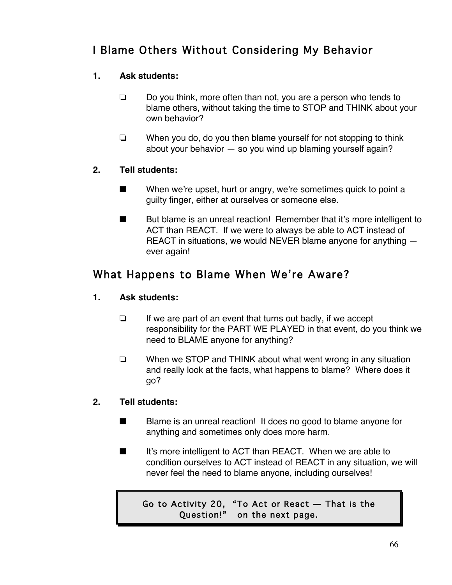## I Blame Others Without Considering My Behavior

## **1. Ask students:**

- $\Box$  Do you think, more often than not, you are a person who tends to blame others, without taking the time to STOP and THINK about your own behavior?
- $\Box$  When you do, do you then blame yourself for not stopping to think about your behavior — so you wind up blaming yourself again?

## **2. Tell students:**

- $\blacksquare$  When we're upset, hurt or angry, we're sometimes quick to point a guilty finger, either at ourselves or someone else.
- $\blacksquare$  But blame is an unreal reaction! Remember that it's more intelligent to ACT than REACT. If we were to always be able to ACT instead of REACT in situations, we would NEVER blame anyone for anything ever again!

## What Happens to Blame When We're Aware?

## **1. Ask students:**

- $\Box$  If we are part of an event that turns out badly, if we accept responsibility for the PART WE PLAYED in that event, do you think we need to BLAME anyone for anything?
- $\Box$  When we STOP and THINK about what went wrong in any situation and really look at the facts, what happens to blame? Where does it go?

## **2. Tell students:**

- $\blacksquare$  Blame is an unreal reaction! It does no good to blame anyone for anything and sometimes only does more harm.
- $\blacksquare$  It's more intelligent to ACT than REACT. When we are able to condition ourselves to ACT instead of REACT in any situation, we will never feel the need to blame anyone, including ourselves!

Go to Activity 20, "To Act or React — That is the Question!" on the next page.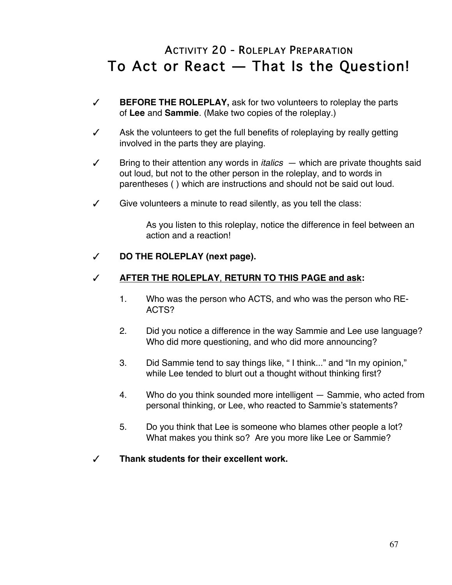# ACTIVITY 20 - ROLEPLAY PREPARATION To Act or React — That Is the Question!

- # **BEFORE THE ROLEPLAY,** ask for two volunteers to roleplay the parts of **Lee** and **Sammie**. (Make two copies of the roleplay.)
- $\checkmark$  Ask the volunteers to get the full benefits of roleplaying by really getting involved in the parts they are playing.
- $\checkmark$  Bring to their attention any words in *italics*  $-$  which are private thoughts said out loud, but not to the other person in the roleplay, and to words in parentheses ( ) which are instructions and should not be said out loud.
- $\checkmark$  Give volunteers a minute to read silently, as you tell the class:

As you listen to this roleplay, notice the difference in feel between an action and a reaction!

### # **DO THE ROLEPLAY (next page).**

### # **AFTER THE ROLEPLAY**, **RETURN TO THIS PAGE and ask:**

- 1. Who was the person who ACTS, and who was the person who RE-ACTS?
- 2. Did you notice a difference in the way Sammie and Lee use language? Who did more questioning, and who did more announcing?
- 3. Did Sammie tend to say things like, " I think..." and "In my opinion," while Lee tended to blurt out a thought without thinking first?
- 4. Who do you think sounded more intelligent Sammie, who acted from personal thinking, or Lee, who reacted to Sammie's statements?
- 5. Do you think that Lee is someone who blames other people a lot? What makes you think so? Are you more like Lee or Sammie?
- # **Thank students for their excellent work.**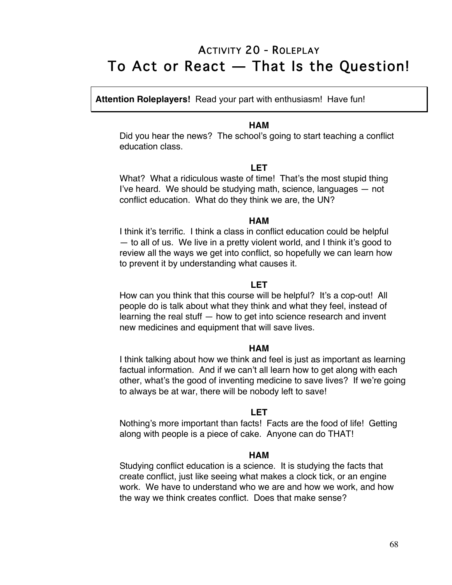## ACTIVITY 20 - ROLEPLAY To Act or React — That Is the Question!

**Attention Roleplayers!** Read your part with enthusiasm! Have fun!

#### **HAM**

Did you hear the news? The school's going to start teaching a conflict education class.

#### **LET**

What? What a ridiculous waste of time! That's the most stupid thing I've heard. We should be studying math, science, languages — not conflict education. What do they think we are, the UN?

#### **HAM**

I think it's terrific. I think a class in conflict education could be helpful — to all of us. We live in a pretty violent world, and I think it's good to review all the ways we get into conflict, so hopefully we can learn how to prevent it by understanding what causes it.

#### **LET**

How can you think that this course will be helpful? It's a cop-out! All people do is talk about what they think and what they feel, instead of learning the real stuff — how to get into science research and invent new medicines and equipment that will save lives.

#### **HAM**

I think talking about how we think and feel is just as important as learning factual information. And if we can't all learn how to get along with each other, what's the good of inventing medicine to save lives? If we're going to always be at war, there will be nobody left to save!

#### **LET**

Nothing's more important than facts! Facts are the food of life! Getting along with people is a piece of cake. Anyone can do THAT!

#### **HAM**

Studying conflict education is a science. It is studying the facts that create conflict, just like seeing what makes a clock tick, or an engine work. We have to understand who we are and how we work, and how the way we think creates conflict. Does that make sense?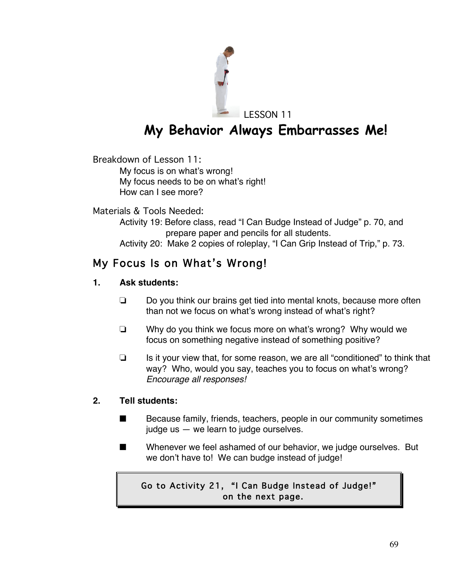

**My Behavior Always Embarrasses Me!**

Breakdown of Lesson 11:

My focus is on what's wrong! My focus needs to be on what's right! How can I see more?

Materials & Tools Needed:

Activity 19: Before class, read "I Can Budge Instead of Judge" p. 70, and prepare paper and pencils for all students.

Activity 20: Make 2 copies of roleplay, "I Can Grip Instead of Trip," p. 73.

## My Focus Is on What's Wrong!

## **1. Ask students:**

- $\Box$  Do you think our brains get tied into mental knots, because more often than not we focus on what's wrong instead of what's right?
- $\Box$  Why do you think we focus more on what's wrong? Why would we focus on something negative instead of something positive?
- $\Box$  Is it your view that, for some reason, we are all "conditioned" to think that way? Who, would you say, teaches you to focus on what's wrong? *Encourage all responses!*

## **2. Tell students:**

- $\blacksquare$  Because family, friends, teachers, people in our community sometimes judge us — we learn to judge ourselves.
- $\blacksquare$  Whenever we feel ashamed of our behavior, we judge ourselves. But we don't have to! We can budge instead of judge!

## Go to Activity 21, "I Can Budge Instead of Judge!" on the next page.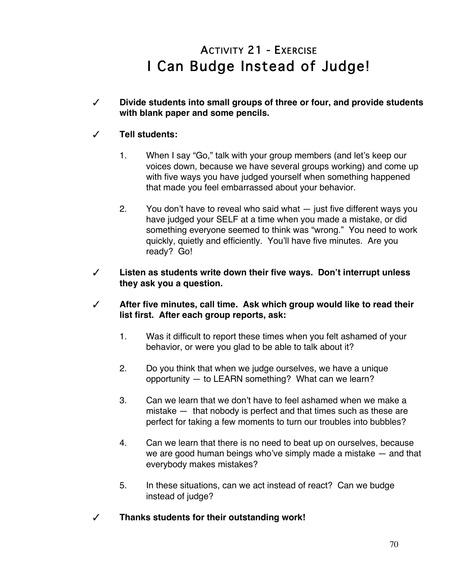# ACTIVITY 21 - EXERCISE I Can Budge Instead of Judge!

# **Divide students into small groups of three or four, and provide students with blank paper and some pencils.**

## # **Tell students:**

- 1. When I say "Go," talk with your group members (and let's keep our voices down, because we have several groups working) and come up with five ways you have judged yourself when something happened that made you feel embarrassed about your behavior.
- 2. You don't have to reveal who said what just five different ways you have judged your SELF at a time when you made a mistake, or did something everyone seemed to think was "wrong." You need to work quickly, quietly and efficiently. You'll have five minutes. Are you ready? Go!
- # **Listen as students write down their five ways. Don't interrupt unless they ask you a question.**
- # **After five minutes, call time. Ask which group would like to read their list first. After each group reports, ask:**
	- 1. Was it difficult to report these times when you felt ashamed of your behavior, or were you glad to be able to talk about it?
	- 2. Do you think that when we judge ourselves, we have a unique opportunity — to LEARN something? What can we learn?
	- 3. Can we learn that we don't have to feel ashamed when we make a mistake — that nobody is perfect and that times such as these are perfect for taking a few moments to turn our troubles into bubbles?
	- 4. Can we learn that there is no need to beat up on ourselves, because we are good human beings who've simply made a mistake — and that everybody makes mistakes?
	- 5. In these situations, can we act instead of react? Can we budge instead of judge?
- # **Thanks students for their outstanding work!**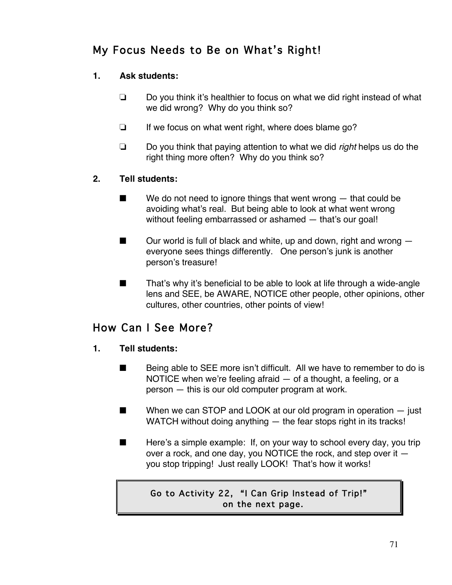## My Focus Needs to Be on What's Right!

## **1. Ask students:**

- $\Box$  Do you think it's healthier to focus on what we did right instead of what we did wrong? Why do you think so?
- $\Box$  If we focus on what went right, where does blame go?
- ! Do you think that paying attention to what we did *right* helps us do the right thing more often? Why do you think so?

## **2. Tell students:**

- $\blacksquare$  We do not need to ignore things that went wrong  $-$  that could be avoiding what's real. But being able to look at what went wrong without feeling embarrassed or ashamed — that's our goal!
- $\Box$  Our world is full of black and white, up and down, right and wrong  $\Box$ everyone sees things differently. One person's junk is another person's treasure!
- $\blacksquare$  That's why it's beneficial to be able to look at life through a wide-angle lens and SEE, be AWARE, NOTICE other people, other opinions, other cultures, other countries, other points of view!

## How Can I See More?

### **1. Tell students:**

- $\blacksquare$  Being able to SEE more isn't difficult. All we have to remember to do is NOTICE when we're feeling afraid — of a thought, a feeling, or a person — this is our old computer program at work.
- $\blacksquare$  When we can STOP and LOOK at our old program in operation  $-$  just WATCH without doing anything — the fear stops right in its tracks!
- $\blacksquare$  Here's a simple example: If, on your way to school every day, you trip over a rock, and one day, you NOTICE the rock, and step over it you stop tripping! Just really LOOK! That's how it works!

## Go to Activity 22, "I Can Grip Instead of Trip!" on the next page.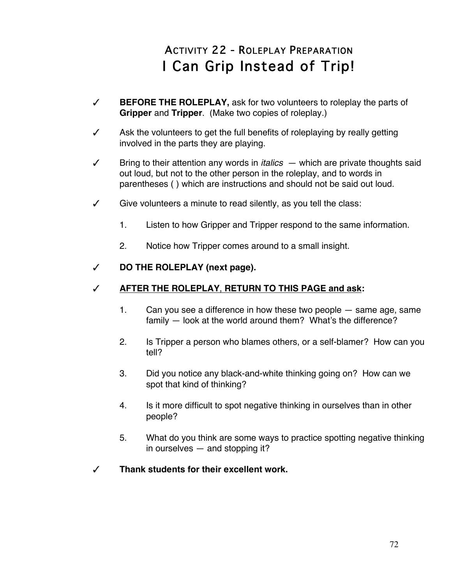# ACTIVITY 22 - ROLEPLAY PREPARATION I Can Grip Instead of Trip!

- # **BEFORE THE ROLEPLAY,** ask for two volunteers to roleplay the parts of **Gripper** and **Tripper**. (Make two copies of roleplay.)
- $\checkmark$  Ask the volunteers to get the full benefits of roleplaying by really getting involved in the parts they are playing.
- $\checkmark$  Bring to their attention any words in *italics*  $-$  which are private thoughts said out loud, but not to the other person in the roleplay, and to words in parentheses ( ) which are instructions and should not be said out loud.
- $\checkmark$  Give volunteers a minute to read silently, as you tell the class:
	- 1. Listen to how Gripper and Tripper respond to the same information.
	- 2. Notice how Tripper comes around to a small insight.

## # **DO THE ROLEPLAY (next page).**

## # **AFTER THE ROLEPLAY**, **RETURN TO THIS PAGE and ask:**

- 1. Can you see a difference in how these two people same age, same family — look at the world around them? What's the difference?
- 2. Is Tripper a person who blames others, or a self-blamer? How can you tell?
- 3. Did you notice any black-and-white thinking going on? How can we spot that kind of thinking?
- 4. Is it more difficult to spot negative thinking in ourselves than in other people?
- 5. What do you think are some ways to practice spotting negative thinking in ourselves — and stopping it?
- # **Thank students for their excellent work.**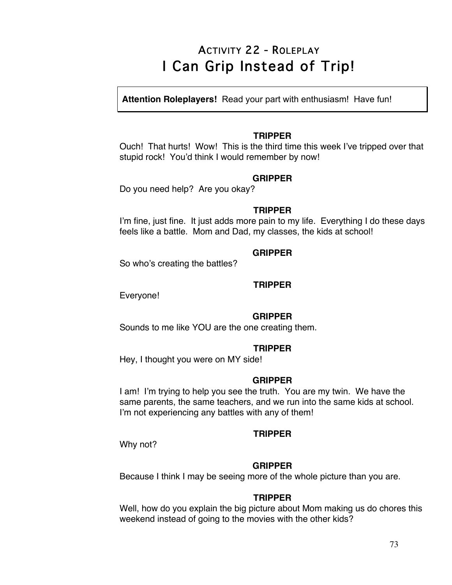# ACTIVITY 22 - ROLEPLAY I Can Grip Instead of Trip!

**Attention Roleplayers!** Read your part with enthusiasm! Have fun!

#### **TRIPPER**

Ouch! That hurts! Wow! This is the third time this week I've tripped over that stupid rock! You'd think I would remember by now!

#### **GRIPPER**

Do you need help? Are you okay?

#### **TRIPPER**

I'm fine, just fine. It just adds more pain to my life. Everything I do these days feels like a battle. Mom and Dad, my classes, the kids at school!

#### **GRIPPER**

So who's creating the battles?

#### **TRIPPER**

Everyone!

#### **GRIPPER**

Sounds to me like YOU are the one creating them.

#### **TRIPPER**

Hey, I thought you were on MY side!

#### **GRIPPER**

I am! I'm trying to help you see the truth. You are my twin. We have the same parents, the same teachers, and we run into the same kids at school. I'm not experiencing any battles with any of them!

#### **TRIPPER**

Why not?

#### **GRIPPER**

Because I think I may be seeing more of the whole picture than you are.

#### **TRIPPER**

Well, how do you explain the big picture about Mom making us do chores this weekend instead of going to the movies with the other kids?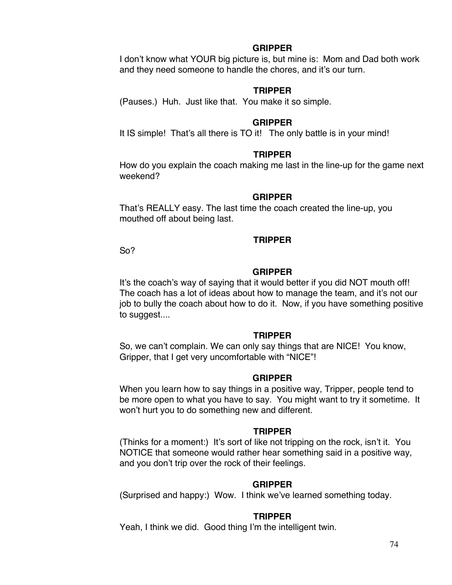#### **GRIPPER**

I don't know what YOUR big picture is, but mine is: Mom and Dad both work and they need someone to handle the chores, and it's our turn.

#### **TRIPPER**

(Pauses.) Huh. Just like that. You make it so simple.

#### **GRIPPER**

It IS simple! That's all there is TO it! The only battle is in your mind!

#### **TRIPPER**

How do you explain the coach making me last in the line-up for the game next weekend?

#### **GRIPPER**

That's REALLY easy. The last time the coach created the line-up, you mouthed off about being last.

#### **TRIPPER**

So?

#### **GRIPPER**

It's the coach's way of saying that it would better if you did NOT mouth off! The coach has a lot of ideas about how to manage the team, and it's not our job to bully the coach about how to do it. Now, if you have something positive to suggest....

#### **TRIPPER**

So, we can't complain. We can only say things that are NICE! You know, Gripper, that I get very uncomfortable with "NICE"!

#### **GRIPPER**

When you learn how to say things in a positive way, Tripper, people tend to be more open to what you have to say. You might want to try it sometime. It won't hurt you to do something new and different.

#### **TRIPPER**

(Thinks for a moment:) It's sort of like not tripping on the rock, isn't it. You NOTICE that someone would rather hear something said in a positive way, and you don't trip over the rock of their feelings.

#### **GRIPPER**

(Surprised and happy:) Wow. I think we've learned something today.

#### **TRIPPER**

Yeah, I think we did. Good thing I'm the intelligent twin.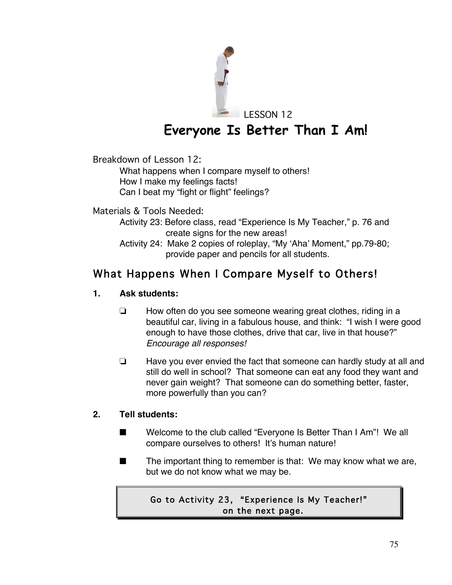

LESSON 12

# **Everyone Is Better Than I Am!**

Breakdown of Lesson 12:

What happens when I compare myself to others! How I make my feelings facts!

Can I beat my "fight or flight" feelings?

Materials & Tools Needed:

- Activity 23: Before class, read "Experience Is My Teacher," p. 76 and create signs for the new areas!
- Activity 24: Make 2 copies of roleplay, "My 'Aha' Moment," pp.79-80; provide paper and pencils for all students.

## What Happens When I Compare Myself to Others!

## **1. Ask students:**

- $\Box$  How often do you see someone wearing great clothes, riding in a beautiful car, living in a fabulous house, and think: "I wish I were good enough to have those clothes, drive that car, live in that house?" *Encourage all responses!*
- $\Box$  Have you ever envied the fact that someone can hardly study at all and still do well in school? That someone can eat any food they want and never gain weight? That someone can do something better, faster, more powerfully than you can?

## **2. Tell students:**

- Welcome to the club called "Everyone Is Better Than I Am"! We all compare ourselves to others! It's human nature!
- The important thing to remember is that: We may know what we are, but we do not know what we may be.

## Go to Activity 23, "Experience Is My Teacher!" on the next page.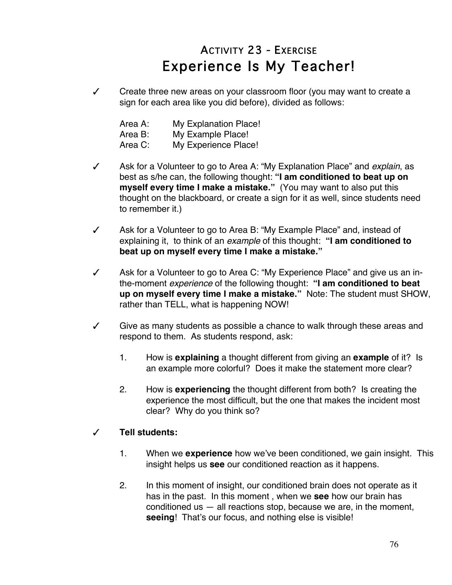# ACTIVITY 23 - EXERCISE Experience Is My Teacher!

 $\checkmark$  Create three new areas on your classroom floor (you may want to create a sign for each area like you did before), divided as follows:

| Area A: | <b>My Explanation Place!</b> |
|---------|------------------------------|
| Area B: | My Example Place!            |
| Area C: | My Experience Place!         |

- # Ask for a Volunteer to go to Area A: "My Explanation Place" and *explain*, as best as s/he can, the following thought: **"I am conditioned to beat up on myself every time I make a mistake."** (You may want to also put this thought on the blackboard, or create a sign for it as well, since students need to remember it.)
- $\checkmark$  Ask for a Volunteer to go to Area B: "My Example Place" and, instead of explaining it, to think of an *example* of this thought: **"I am conditioned to beat up on myself every time I make a mistake."**
- $\checkmark$  Ask for a Volunteer to go to Area C: "My Experience Place" and give us an inthe-moment *experience* of the following thought: **"I am conditioned to beat up on myself every time I make a mistake."** Note: The student must SHOW, rather than TELL, what is happening NOW!
- $\checkmark$  Give as many students as possible a chance to walk through these areas and respond to them. As students respond, ask:
	- 1. How is **explaining** a thought different from giving an **example** of it? Is an example more colorful? Does it make the statement more clear?
	- 2. How is **experiencing** the thought different from both? Is creating the experience the most difficult, but the one that makes the incident most clear? Why do you think so?

## # **Tell students:**

- 1. When we **experience** how we've been conditioned, we gain insight. This insight helps us **see** our conditioned reaction as it happens.
- 2. In this moment of insight, our conditioned brain does not operate as it has in the past. In this moment , when we **see** how our brain has conditioned us  $-$  all reactions stop, because we are, in the moment, **seeing**! That's our focus, and nothing else is visible!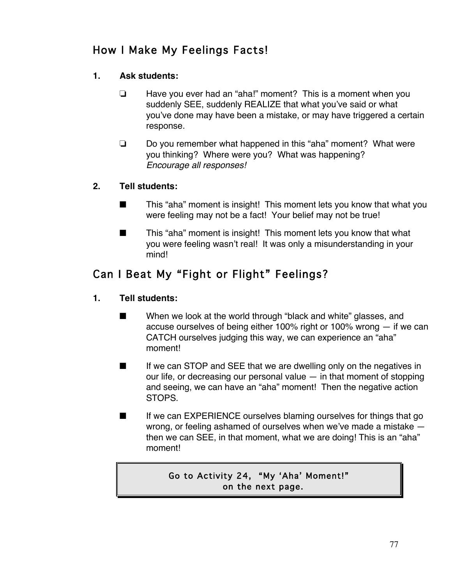## How I Make My Feelings Facts!

## **1. Ask students:**

- $\Box$  Have you ever had an "aha!" moment? This is a moment when you suddenly SEE, suddenly REALIZE that what you've said or what you've done may have been a mistake, or may have triggered a certain response.
- $\Box$  Do you remember what happened in this "aha" moment? What were you thinking? Where were you? What was happening? *Encourage all responses!*

## **2. Tell students:**

- $\blacksquare$  This "aha" moment is insight! This moment lets you know that what you were feeling may not be a fact! Your belief may not be true!
- $\blacksquare$  This "aha" moment is insight! This moment lets you know that what you were feeling wasn't real! It was only a misunderstanding in your mind!

## Can I Beat My "Fight or Flight" Feelings?

## **1. Tell students:**

- $\blacksquare$  When we look at the world through "black and white" glasses, and accuse ourselves of being either 100% right or 100% wrong — if we can CATCH ourselves judging this way, we can experience an "aha" moment!
- $\blacksquare$  If we can STOP and SEE that we are dwelling only on the negatives in our life, or decreasing our personal value  $-$  in that moment of stopping and seeing, we can have an "aha" moment! Then the negative action STOPS.
- $\blacksquare$  If we can EXPERIENCE ourselves blaming ourselves for things that go wrong, or feeling ashamed of ourselves when we've made a mistake then we can SEE, in that moment, what we are doing! This is an "aha" moment!

## Go to Activity 24, "My 'Aha' Moment!" on the next page.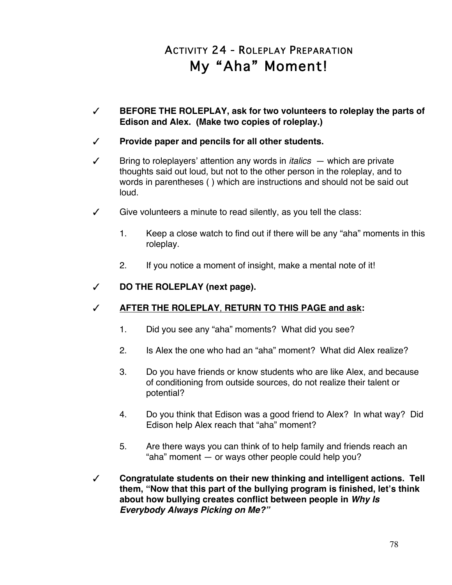# ACTIVITY 24 - ROLEPLAY PREPARATION My "Aha" Moment!

# **BEFORE THE ROLEPLAY, ask for two volunteers to roleplay the parts of Edison and Alex. (Make two copies of roleplay.)** 

### # **Provide paper and pencils for all other students.**

- $\checkmark$  Bring to roleplayers' attention any words in *italics*  $-$  which are private thoughts said out loud, but not to the other person in the roleplay, and to words in parentheses ( ) which are instructions and should not be said out loud.
- $\checkmark$  Give volunteers a minute to read silently, as you tell the class:
	- 1. Keep a close watch to find out if there will be any "aha" moments in this roleplay.
	- 2. If you notice a moment of insight, make a mental note of it!

### # **DO THE ROLEPLAY (next page).**

### # **AFTER THE ROLEPLAY**, **RETURN TO THIS PAGE and ask:**

- 1. Did you see any "aha" moments? What did you see?
- 2. Is Alex the one who had an "aha" moment? What did Alex realize?
- 3. Do you have friends or know students who are like Alex, and because of conditioning from outside sources, do not realize their talent or potential?
- 4. Do you think that Edison was a good friend to Alex? In what way? Did Edison help Alex reach that "aha" moment?
- 5. Are there ways you can think of to help family and friends reach an "aha" moment — or ways other people could help you?
- # **Congratulate students on their new thinking and intelligent actions. Tell them, "Now that this part of the bullying program is finished, let's think about how bullying creates conflict between people in** *Why Is Everybody Always Picking on Me?"*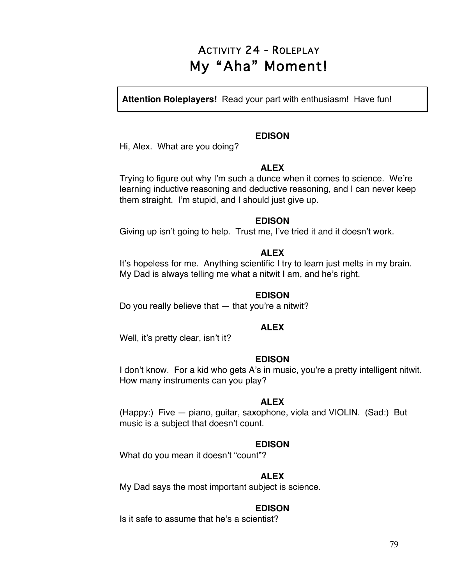# ACTIVITY 24 - ROLEPLAY My "Aha" Moment!

**Attention Roleplayers!** Read your part with enthusiasm! Have fun!

#### **EDISON**

Hi, Alex. What are you doing?

#### **ALEX**

Trying to figure out why I'm such a dunce when it comes to science. We're learning inductive reasoning and deductive reasoning, and I can never keep them straight. I'm stupid, and I should just give up.

#### **EDISON**

Giving up isn't going to help. Trust me, I've tried it and it doesn't work.

#### **ALEX**

It's hopeless for me. Anything scientific I try to learn just melts in my brain. My Dad is always telling me what a nitwit I am, and he's right.

### **EDISON**

Do you really believe that  $-$  that you're a nitwit?

#### **ALEX**

Well, it's pretty clear, isn't it?

#### **EDISON**

I don't know. For a kid who gets A's in music, you're a pretty intelligent nitwit. How many instruments can you play?

#### **ALEX**

(Happy:) Five — piano, guitar, saxophone, viola and VIOLIN. (Sad:) But music is a subject that doesn't count.

### **EDISON**

What do you mean it doesn't "count"?

### **ALEX**

My Dad says the most important subject is science.

### **EDISON**

Is it safe to assume that he's a scientist?